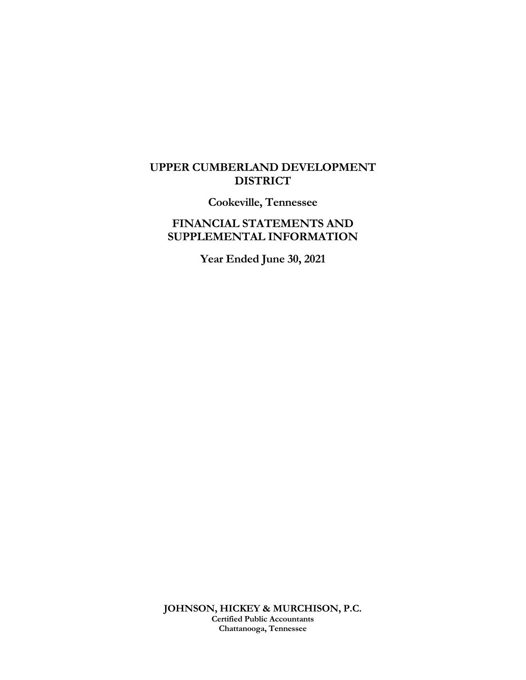## **UPPER CUMBERLAND DEVELOPMENT DISTRICT**

**Cookeville, Tennessee** 

## **FINANCIAL STATEMENTS AND SUPPLEMENTAL INFORMATION**

**Year Ended June 30, 2021** 

**JOHNSON, HICKEY & MURCHISON, P.C. Certified Public Accountants Chattanooga, Tennessee**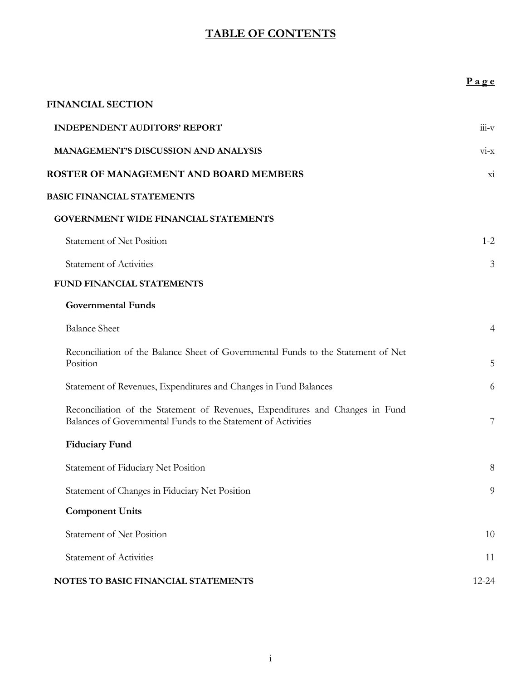## **TABLE OF CONTENTS**

|                                                                                                                                                | Page         |
|------------------------------------------------------------------------------------------------------------------------------------------------|--------------|
| <b>FINANCIAL SECTION</b>                                                                                                                       |              |
| <b>INDEPENDENT AUDITORS' REPORT</b>                                                                                                            | $111-V$      |
| MANAGEMENT'S DISCUSSION AND ANALYSIS                                                                                                           | $\dot{vi-x}$ |
| ROSTER OF MANAGEMENT AND BOARD MEMBERS                                                                                                         | X1           |
| <b>BASIC FINANCIAL STATEMENTS</b>                                                                                                              |              |
| <b>GOVERNMENT WIDE FINANCIAL STATEMENTS</b>                                                                                                    |              |
| <b>Statement of Net Position</b>                                                                                                               | $1 - 2$      |
| <b>Statement of Activities</b>                                                                                                                 | 3            |
| <b>FUND FINANCIAL STATEMENTS</b>                                                                                                               |              |
| <b>Governmental Funds</b>                                                                                                                      |              |
| <b>Balance Sheet</b>                                                                                                                           | 4            |
| Reconciliation of the Balance Sheet of Governmental Funds to the Statement of Net<br>Position                                                  | 5            |
| Statement of Revenues, Expenditures and Changes in Fund Balances                                                                               | 6            |
| Reconciliation of the Statement of Revenues, Expenditures and Changes in Fund<br>Balances of Governmental Funds to the Statement of Activities | 7            |
| <b>Fiduciary Fund</b>                                                                                                                          |              |
| Statement of Fiduciary Net Position                                                                                                            | 8            |
| Statement of Changes in Fiduciary Net Position                                                                                                 | 9            |
| <b>Component Units</b>                                                                                                                         |              |
| <b>Statement of Net Position</b>                                                                                                               | 10           |
| <b>Statement of Activities</b>                                                                                                                 | 11           |
| NOTES TO BASIC FINANCIAL STATEMENTS                                                                                                            | $12 - 24$    |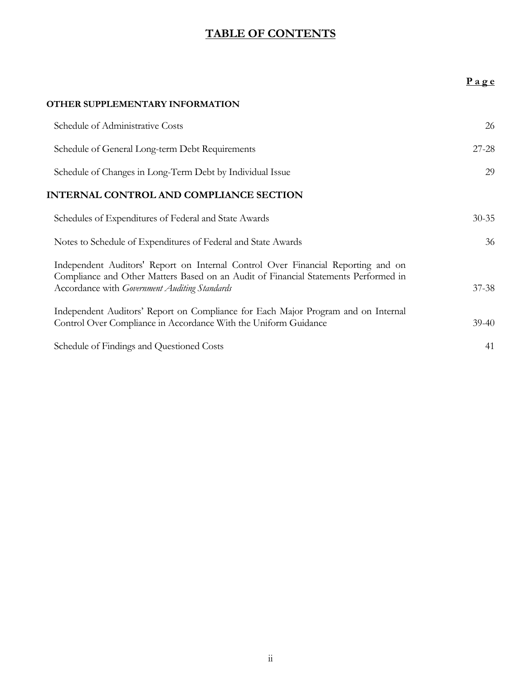## **TABLE OF CONTENTS**

|                                                                                                                                                                                                                          | $P_1$ $q_2$ $e_1$ |
|--------------------------------------------------------------------------------------------------------------------------------------------------------------------------------------------------------------------------|-------------------|
| OTHER SUPPLEMENTARY INFORMATION                                                                                                                                                                                          |                   |
| Schedule of Administrative Costs                                                                                                                                                                                         | 26                |
| Schedule of General Long-term Debt Requirements                                                                                                                                                                          | $27 - 28$         |
| Schedule of Changes in Long-Term Debt by Individual Issue                                                                                                                                                                | 29                |
| <b>INTERNAL CONTROL AND COMPLIANCE SECTION</b>                                                                                                                                                                           |                   |
| Schedules of Expenditures of Federal and State Awards                                                                                                                                                                    | $30 - 35$         |
| Notes to Schedule of Expenditures of Federal and State Awards                                                                                                                                                            | 36                |
| Independent Auditors' Report on Internal Control Over Financial Reporting and on<br>Compliance and Other Matters Based on an Audit of Financial Statements Performed in<br>Accordance with Government Auditing Standards | $37 - 38$         |
| Independent Auditors' Report on Compliance for Each Major Program and on Internal<br>Control Over Compliance in Accordance With the Uniform Guidance                                                                     | $39-40$           |
| Schedule of Findings and Questioned Costs                                                                                                                                                                                | 41                |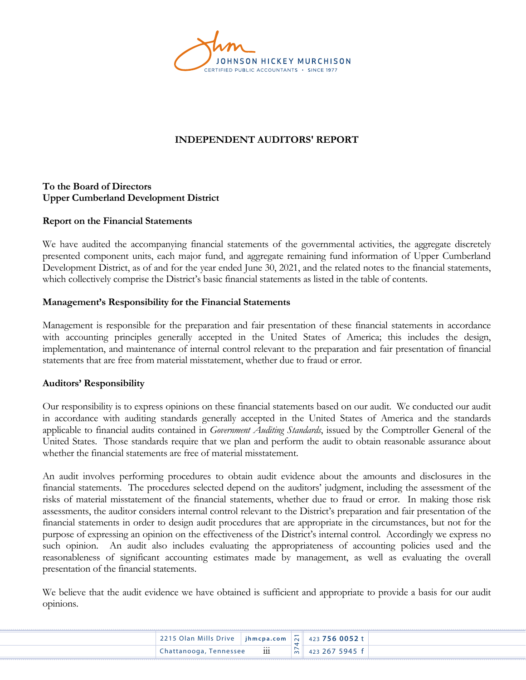

## **INDEPENDENT AUDITORS' REPORT**

## **To the Board of Directors Upper Cumberland Development District**

#### **Report on the Financial Statements**

We have audited the accompanying financial statements of the governmental activities, the aggregate discretely presented component units, each major fund, and aggregate remaining fund information of Upper Cumberland Development District, as of and for the year ended June 30, 2021, and the related notes to the financial statements, which collectively comprise the District's basic financial statements as listed in the table of contents.

#### **Management's Responsibility for the Financial Statements**

Management is responsible for the preparation and fair presentation of these financial statements in accordance with accounting principles generally accepted in the United States of America; this includes the design, implementation, and maintenance of internal control relevant to the preparation and fair presentation of financial statements that are free from material misstatement, whether due to fraud or error.

#### **Auditors' Responsibility**

Our responsibility is to express opinions on these financial statements based on our audit. We conducted our audit in accordance with auditing standards generally accepted in the United States of America and the standards applicable to financial audits contained in *Government Auditing Standards*, issued by the Comptroller General of the United States. Those standards require that we plan and perform the audit to obtain reasonable assurance about whether the financial statements are free of material misstatement.

An audit involves performing procedures to obtain audit evidence about the amounts and disclosures in the financial statements. The procedures selected depend on the auditors' judgment, including the assessment of the risks of material misstatement of the financial statements, whether due to fraud or error. In making those risk assessments, the auditor considers internal control relevant to the District's preparation and fair presentation of the financial statements in order to design audit procedures that are appropriate in the circumstances, but not for the purpose of expressing an opinion on the effectiveness of the District's internal control. Accordingly we express no such opinion. An audit also includes evaluating the appropriateness of accounting policies used and the reasonableness of significant accounting estimates made by management, as well as evaluating the overall presentation of the financial statements.

We believe that the audit evidence we have obtained is sufficient and appropriate to provide a basis for our audit opinions.

| 2215 Olan Mills Drive  | jhmcpa.com      | $\sqrt{2}$ 423 756 0052 t |  |
|------------------------|-----------------|---------------------------|--|
| Chattanooga, Tennessee | $\cdots$<br>111 | 4232675945f               |  |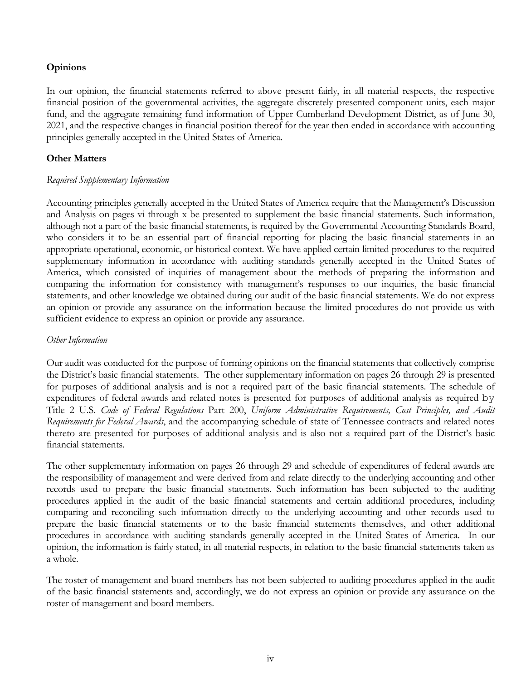## **Opinions**

In our opinion, the financial statements referred to above present fairly, in all material respects, the respective financial position of the governmental activities, the aggregate discretely presented component units, each major fund, and the aggregate remaining fund information of Upper Cumberland Development District, as of June 30, 2021, and the respective changes in financial position thereof for the year then ended in accordance with accounting principles generally accepted in the United States of America.

## **Other Matters**

#### *Required Supplementary Information*

Accounting principles generally accepted in the United States of America require that the Management's Discussion and Analysis on pages vi through x be presented to supplement the basic financial statements. Such information, although not a part of the basic financial statements, is required by the Governmental Accounting Standards Board, who considers it to be an essential part of financial reporting for placing the basic financial statements in an appropriate operational, economic, or historical context. We have applied certain limited procedures to the required supplementary information in accordance with auditing standards generally accepted in the United States of America, which consisted of inquiries of management about the methods of preparing the information and comparing the information for consistency with management's responses to our inquiries, the basic financial statements, and other knowledge we obtained during our audit of the basic financial statements. We do not express an opinion or provide any assurance on the information because the limited procedures do not provide us with sufficient evidence to express an opinion or provide any assurance.

#### *Other Information*

Our audit was conducted for the purpose of forming opinions on the financial statements that collectively comprise the District's basic financial statements. The other supplementary information on pages 26 through 29 is presented for purposes of additional analysis and is not a required part of the basic financial statements. The schedule of expenditures of federal awards and related notes is presented for purposes of additional analysis as required by Title 2 U.S. *Code of Federal Regulations* Part 200, *Uniform Administrative Requirements, Cost Principles, and Audit Requirements for Federal Awards*, and the accompanying schedule of state of Tennessee contracts and related notes thereto are presented for purposes of additional analysis and is also not a required part of the District's basic financial statements.

The other supplementary information on pages 26 through 29 and schedule of expenditures of federal awards are the responsibility of management and were derived from and relate directly to the underlying accounting and other records used to prepare the basic financial statements. Such information has been subjected to the auditing procedures applied in the audit of the basic financial statements and certain additional procedures, including comparing and reconciling such information directly to the underlying accounting and other records used to prepare the basic financial statements or to the basic financial statements themselves, and other additional procedures in accordance with auditing standards generally accepted in the United States of America. In our opinion, the information is fairly stated, in all material respects, in relation to the basic financial statements taken as a whole.

The roster of management and board members has not been subjected to auditing procedures applied in the audit of the basic financial statements and, accordingly, we do not express an opinion or provide any assurance on the roster of management and board members.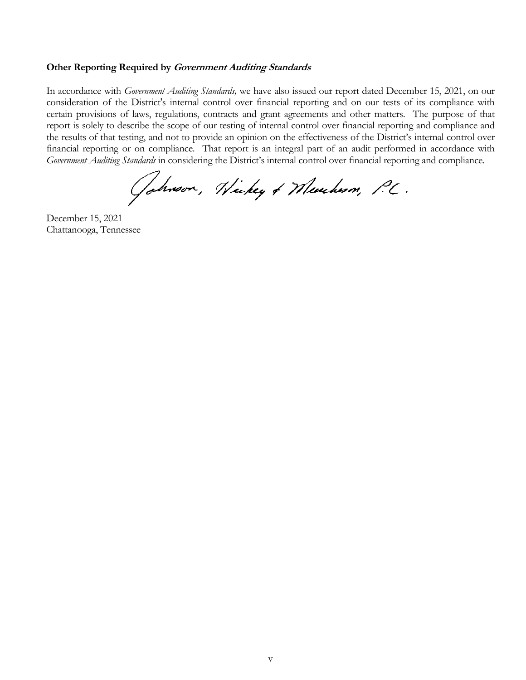#### **Other Reporting Required by Government Auditing Standards**

In accordance with *Government Auditing Standards,* we have also issued our report dated December 15, 2021, on our consideration of the District's internal control over financial reporting and on our tests of its compliance with certain provisions of laws, regulations, contracts and grant agreements and other matters. The purpose of that report is solely to describe the scope of our testing of internal control over financial reporting and compliance and the results of that testing, and not to provide an opinion on the effectiveness of the District's internal control over financial reporting or on compliance. That report is an integral part of an audit performed in accordance with *Government Auditing Standards* in considering the District's internal control over financial reporting and compliance.

Johnson, Nickey & Meucheson, P.C.

December 15, 2021 Chattanooga, Tennessee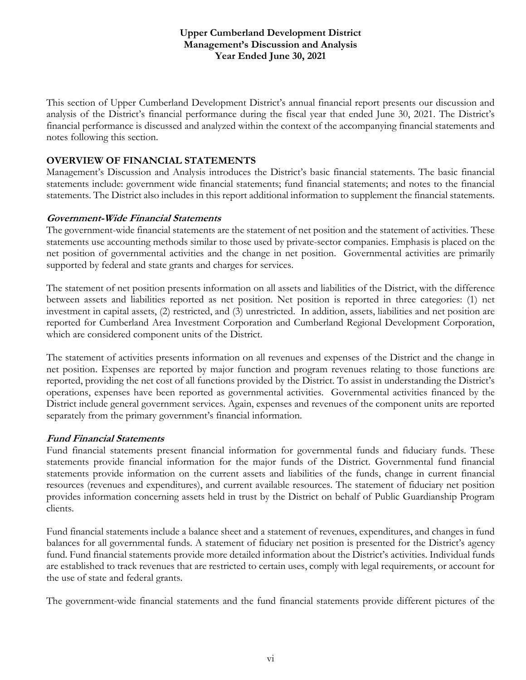## **Upper Cumberland Development District Management's Discussion and Analysis Year Ended June 30, 2021**

This section of Upper Cumberland Development District's annual financial report presents our discussion and analysis of the District's financial performance during the fiscal year that ended June 30, 2021. The District's financial performance is discussed and analyzed within the context of the accompanying financial statements and notes following this section.

## **OVERVIEW OF FINANCIAL STATEMENTS**

Management's Discussion and Analysis introduces the District's basic financial statements. The basic financial statements include: government wide financial statements; fund financial statements; and notes to the financial statements. The District also includes in this report additional information to supplement the financial statements.

## **Government-Wide Financial Statements**

The government-wide financial statements are the statement of net position and the statement of activities. These statements use accounting methods similar to those used by private-sector companies. Emphasis is placed on the net position of governmental activities and the change in net position. Governmental activities are primarily supported by federal and state grants and charges for services.

The statement of net position presents information on all assets and liabilities of the District, with the difference between assets and liabilities reported as net position. Net position is reported in three categories: (1) net investment in capital assets, (2) restricted, and (3) unrestricted. In addition, assets, liabilities and net position are reported for Cumberland Area Investment Corporation and Cumberland Regional Development Corporation, which are considered component units of the District.

The statement of activities presents information on all revenues and expenses of the District and the change in net position. Expenses are reported by major function and program revenues relating to those functions are reported, providing the net cost of all functions provided by the District. To assist in understanding the District's operations, expenses have been reported as governmental activities. Governmental activities financed by the District include general government services. Again, expenses and revenues of the component units are reported separately from the primary government's financial information.

## **Fund Financial Statements**

Fund financial statements present financial information for governmental funds and fiduciary funds. These statements provide financial information for the major funds of the District. Governmental fund financial statements provide information on the current assets and liabilities of the funds, change in current financial resources (revenues and expenditures), and current available resources. The statement of fiduciary net position provides information concerning assets held in trust by the District on behalf of Public Guardianship Program clients.

Fund financial statements include a balance sheet and a statement of revenues, expenditures, and changes in fund balances for all governmental funds. A statement of fiduciary net position is presented for the District's agency fund. Fund financial statements provide more detailed information about the District's activities. Individual funds are established to track revenues that are restricted to certain uses, comply with legal requirements, or account for the use of state and federal grants.

The government-wide financial statements and the fund financial statements provide different pictures of the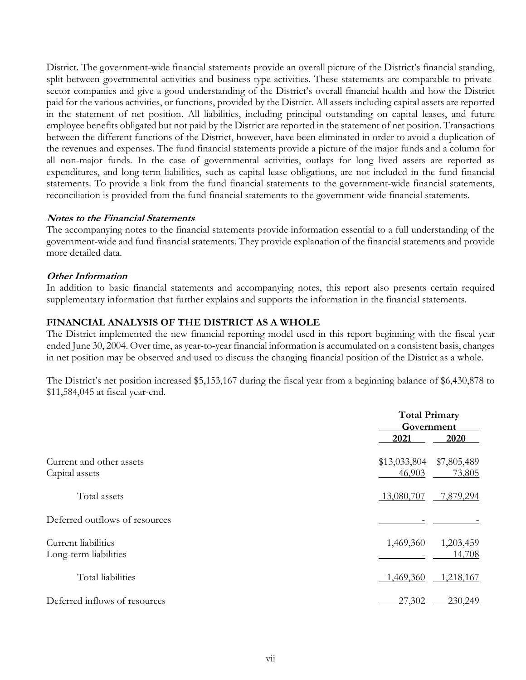District. The government-wide financial statements provide an overall picture of the District's financial standing, split between governmental activities and business-type activities. These statements are comparable to privatesector companies and give a good understanding of the District's overall financial health and how the District paid for the various activities, or functions, provided by the District. All assets including capital assets are reported in the statement of net position. All liabilities, including principal outstanding on capital leases, and future employee benefits obligated but not paid by the District are reported in the statement of net position. Transactions between the different functions of the District, however, have been eliminated in order to avoid a duplication of the revenues and expenses. The fund financial statements provide a picture of the major funds and a column for all non-major funds. In the case of governmental activities, outlays for long lived assets are reported as expenditures, and long-term liabilities, such as capital lease obligations, are not included in the fund financial statements. To provide a link from the fund financial statements to the government-wide financial statements, reconciliation is provided from the fund financial statements to the government-wide financial statements.

## **Notes to the Financial Statements**

The accompanying notes to the financial statements provide information essential to a full understanding of the government-wide and fund financial statements. They provide explanation of the financial statements and provide more detailed data.

## **Other Information**

In addition to basic financial statements and accompanying notes, this report also presents certain required supplementary information that further explains and supports the information in the financial statements.

## **FINANCIAL ANALYSIS OF THE DISTRICT AS A WHOLE**

The District implemented the new financial reporting model used in this report beginning with the fiscal year ended June 30, 2004. Over time, as year-to-year financial information is accumulated on a consistent basis, changes in net position may be observed and used to discuss the changing financial position of the District as a whole.

The District's net position increased \$5,153,167 during the fiscal year from a beginning balance of \$6,430,878 to \$11,584,045 at fiscal year-end.

|                                              | <b>Total Primary</b><br>Government |                       |
|----------------------------------------------|------------------------------------|-----------------------|
|                                              | 2021                               | 2020                  |
| Current and other assets<br>Capital assets   | \$13,033,804<br>46,903             | \$7,805,489<br>73,805 |
| Total assets                                 | 13,080,707                         | 7,879,294             |
| Deferred outflows of resources               |                                    |                       |
| Current liabilities<br>Long-term liabilities | 1,469,360                          | 1,203,459<br>14,708   |
| Total liabilities                            | 1,469,360                          | 1,218,167             |
| Deferred inflows of resources                | 27,302                             | 230,249               |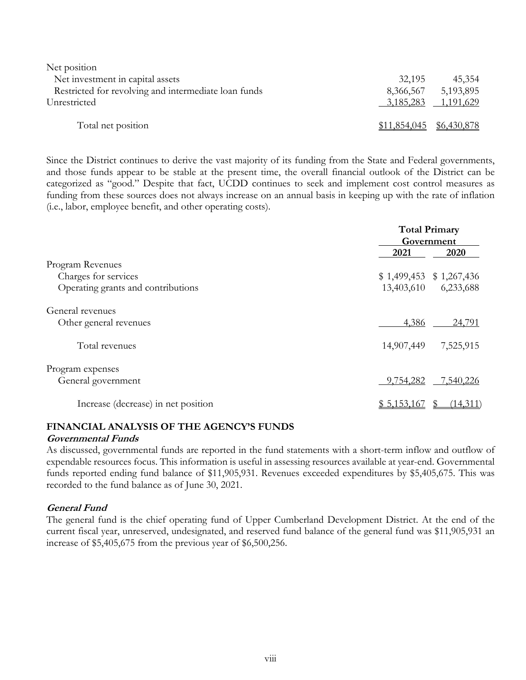| Net position                                         |                            |           |
|------------------------------------------------------|----------------------------|-----------|
| Net investment in capital assets                     | 32,195                     | 45,354    |
| Restricted for revolving and intermediate loan funds | 8,366,567                  | 5,193,895 |
| Unrestricted                                         | 3,185,283                  | 1,191,629 |
| Total net position                                   | $$11,854,045$ $$6,430,878$ |           |

Since the District continues to derive the vast majority of its funding from the State and Federal governments, and those funds appear to be stable at the present time, the overall financial outlook of the District can be categorized as "good." Despite that fact, UCDD continues to seek and implement cost control measures as funding from these sources does not always increase on an annual basis in keeping up with the rate of inflation (i.e., labor, employee benefit, and other operating costs).

|                                     | <b>Total Primary</b><br>Government |                           |
|-------------------------------------|------------------------------------|---------------------------|
|                                     | 2021                               | 2020                      |
| Program Revenues                    |                                    |                           |
| Charges for services                |                                    | $$1,499,453$ $$1,267,436$ |
| Operating grants and contributions  |                                    | 13,403,610 6,233,688      |
| General revenues                    |                                    |                           |
| Other general revenues              | 4,386                              | 24,791                    |
| Total revenues                      | 14,907,449                         | 7,525,915                 |
| Program expenses                    |                                    |                           |
| General government                  | 9,754,282                          | 7,540,226                 |
| Increase (decrease) in net position | \$5.153.167                        | 74.311)                   |

## **FINANCIAL ANALYSIS OF THE AGENCY'S FUNDS**

#### **Governmental Funds**

As discussed, governmental funds are reported in the fund statements with a short-term inflow and outflow of expendable resources focus. This information is useful in assessing resources available at year-end. Governmental funds reported ending fund balance of \$11,905,931. Revenues exceeded expenditures by \$5,405,675. This was recorded to the fund balance as of June 30, 2021.

#### **General Fund**

The general fund is the chief operating fund of Upper Cumberland Development District. At the end of the current fiscal year, unreserved, undesignated, and reserved fund balance of the general fund was \$11,905,931 an increase of \$5,405,675 from the previous year of \$6,500,256.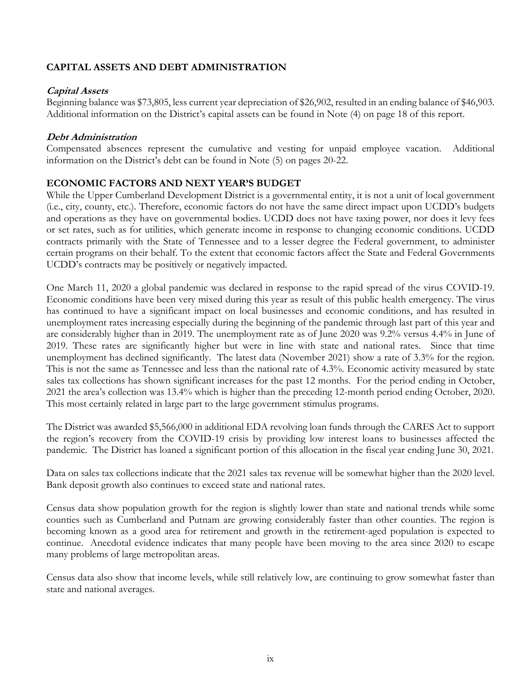## **CAPITAL ASSETS AND DEBT ADMINISTRATION**

## **Capital Assets**

Beginning balance was \$73,805, less current year depreciation of \$26,902, resulted in an ending balance of \$46,903. Additional information on the District's capital assets can be found in Note (4) on page 18 of this report.

#### **Debt Administration**

Compensated absences represent the cumulative and vesting for unpaid employee vacation. Additional information on the District's debt can be found in Note (5) on pages 20-22.

## **ECONOMIC FACTORS AND NEXT YEAR'S BUDGET**

While the Upper Cumberland Development District is a governmental entity, it is not a unit of local government (i.e., city, county, etc.). Therefore, economic factors do not have the same direct impact upon UCDD's budgets and operations as they have on governmental bodies. UCDD does not have taxing power, nor does it levy fees or set rates, such as for utilities, which generate income in response to changing economic conditions. UCDD contracts primarily with the State of Tennessee and to a lesser degree the Federal government, to administer certain programs on their behalf. To the extent that economic factors affect the State and Federal Governments UCDD's contracts may be positively or negatively impacted.

One March 11, 2020 a global pandemic was declared in response to the rapid spread of the virus COVID-19. Economic conditions have been very mixed during this year as result of this public health emergency. The virus has continued to have a significant impact on local businesses and economic conditions, and has resulted in unemployment rates increasing especially during the beginning of the pandemic through last part of this year and are considerably higher than in 2019. The unemployment rate as of June 2020 was 9.2% versus 4.4% in June of 2019. These rates are significantly higher but were in line with state and national rates. Since that time unemployment has declined significantly. The latest data (November 2021) show a rate of 3.3% for the region. This is not the same as Tennessee and less than the national rate of 4.3%. Economic activity measured by state sales tax collections has shown significant increases for the past 12 months. For the period ending in October, 2021 the area's collection was 13.4% which is higher than the preceding 12-month period ending October, 2020. This most certainly related in large part to the large government stimulus programs.

The District was awarded \$5,566,000 in additional EDA revolving loan funds through the CARES Act to support the region's recovery from the COVID-19 crisis by providing low interest loans to businesses affected the pandemic. The District has loaned a significant portion of this allocation in the fiscal year ending June 30, 2021.

Data on sales tax collections indicate that the 2021 sales tax revenue will be somewhat higher than the 2020 level. Bank deposit growth also continues to exceed state and national rates.

Census data show population growth for the region is slightly lower than state and national trends while some counties such as Cumberland and Putnam are growing considerably faster than other counties. The region is becoming known as a good area for retirement and growth in the retirement-aged population is expected to continue. Anecdotal evidence indicates that many people have been moving to the area since 2020 to escape many problems of large metropolitan areas.

Census data also show that income levels, while still relatively low, are continuing to grow somewhat faster than state and national averages.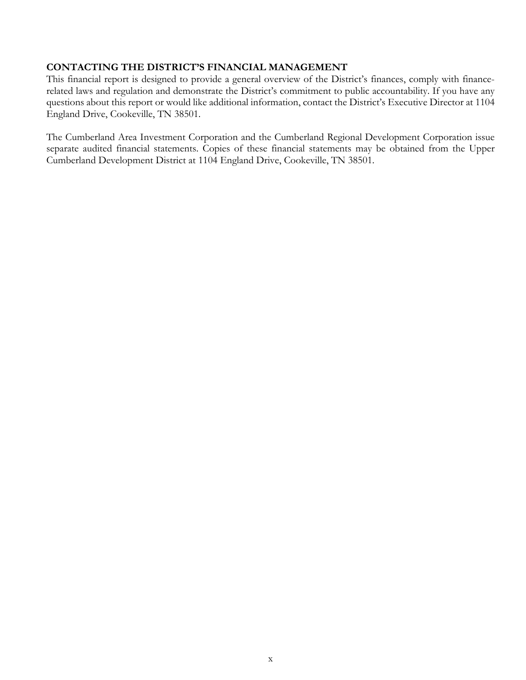## **CONTACTING THE DISTRICT'S FINANCIAL MANAGEMENT**

This financial report is designed to provide a general overview of the District's finances, comply with financerelated laws and regulation and demonstrate the District's commitment to public accountability. If you have any questions about this report or would like additional information, contact the District's Executive Director at 1104 England Drive, Cookeville, TN 38501.

The Cumberland Area Investment Corporation and the Cumberland Regional Development Corporation issue separate audited financial statements. Copies of these financial statements may be obtained from the Upper Cumberland Development District at 1104 England Drive, Cookeville, TN 38501.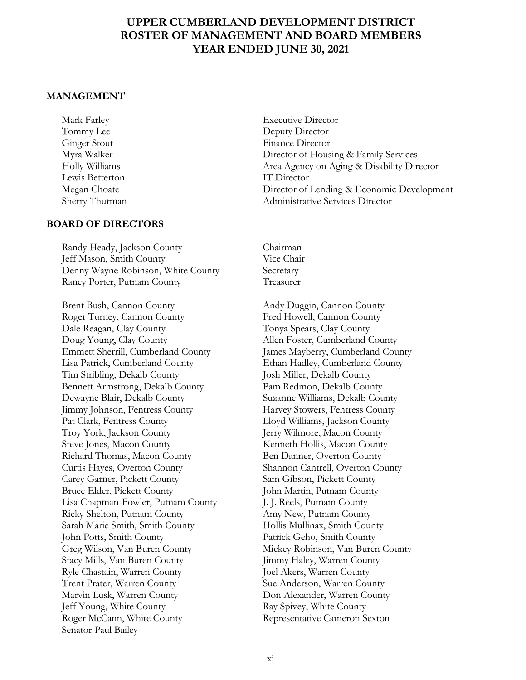## **UPPER CUMBERLAND DEVELOPMENT DISTRICT ROSTER OF MANAGEMENT AND BOARD MEMBERS YEAR ENDED JUNE 30, 2021**

#### **MANAGEMENT**

Mark Farley **Executive Director** Lewis Betterton IT Director

#### **BOARD OF DIRECTORS**

Randy Heady, Jackson County Chairman Jeff Mason, Smith County Vice Chair Denny Wayne Robinson, White County Secretary Raney Porter, Putnam County Treasurer

Brent Bush, Cannon County **Andy Duggin, Cannon County** Roger Turney, Cannon County Fred Howell, Cannon County Dale Reagan, Clay County Tonya Spears, Clay County Doug Young, Clay County Allen Foster, Cumberland County Emmett Sherrill, Cumberland County James Mayberry, Cumberland County Lisa Patrick, Cumberland County Ethan Hadley, Cumberland County Tim Stribling, Dekalb County Josh Miller, Dekalb County Bennett Armstrong, Dekalb County Pam Redmon, Dekalb County Dewayne Blair, Dekalb County Suzanne Williams, Dekalb County Jimmy Johnson, Fentress County Harvey Stowers, Fentress County Pat Clark, Fentress County Lloyd Williams, Jackson County Troy York, Jackson County Jerry Wilmore, Macon County Steve Jones, Macon County Kenneth Hollis, Macon County Richard Thomas, Macon County Ben Danner, Overton County Curtis Hayes, Overton County Shannon Cantrell, Overton County Carey Garner, Pickett County Sam Gibson, Pickett County Bruce Elder, Pickett County John Martin, Putnam County Lisa Chapman-Fowler, Putnam County J. J. Reels, Putnam County Ricky Shelton, Putnam County **Amy New, Putnam County** Sarah Marie Smith, Smith County Hollis Mullinax, Smith County John Potts, Smith County Patrick Geho, Smith County Greg Wilson, Van Buren County Mickey Robinson, Van Buren County Stacy Mills, Van Buren County Jimmy Haley, Warren County Ryle Chastain, Warren County Joel Akers, Warren County Trent Prater, Warren County Sue Anderson, Warren County Marvin Lusk, Warren County **Don Alexander**, Warren County Jeff Young, White County **Ray Spivey, White County** Roger McCann, White County Representative Cameron Sexton Senator Paul Bailey

Tommy Lee Deputy Director Ginger Stout Finance Director Myra Walker Director of Housing & Family Services Holly Williams **Area Agency on Aging & Disability Director** Megan Choate Director of Lending & Economic Development Sherry Thurman Administrative Services Director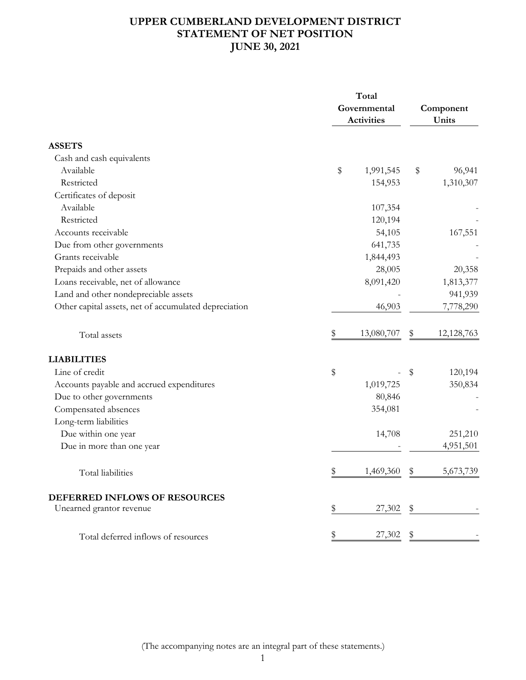## **UPPER CUMBERLAND DEVELOPMENT DISTRICT STATEMENT OF NET POSITION JUNE 30, 2021**

|                                                       | Total                             |    |                    |  |
|-------------------------------------------------------|-----------------------------------|----|--------------------|--|
|                                                       | Governmental<br><b>Activities</b> |    | Component<br>Units |  |
|                                                       |                                   |    |                    |  |
| <b>ASSETS</b>                                         |                                   |    |                    |  |
| Cash and cash equivalents                             |                                   |    |                    |  |
| Available                                             | \$<br>1,991,545                   | \$ | 96,941             |  |
| Restricted                                            | 154,953                           |    | 1,310,307          |  |
| Certificates of deposit                               |                                   |    |                    |  |
| Available                                             | 107,354                           |    |                    |  |
| Restricted                                            | 120,194                           |    |                    |  |
| Accounts receivable                                   | 54,105                            |    | 167,551            |  |
| Due from other governments                            | 641,735                           |    |                    |  |
| Grants receivable                                     | 1,844,493                         |    |                    |  |
| Prepaids and other assets                             | 28,005                            |    | 20,358             |  |
| Loans receivable, net of allowance                    | 8,091,420                         |    | 1,813,377          |  |
| Land and other nondepreciable assets                  |                                   |    | 941,939            |  |
| Other capital assets, net of accumulated depreciation | 46,903                            |    | 7,778,290          |  |
| Total assets                                          | \$<br>13,080,707                  | \$ | 12,128,763         |  |
| <b>LIABILITIES</b>                                    |                                   |    |                    |  |
| Line of credit                                        | \$                                | \$ | 120,194            |  |
| Accounts payable and accrued expenditures             | 1,019,725                         |    | 350,834            |  |
| Due to other governments                              | 80,846                            |    |                    |  |
| Compensated absences                                  | 354,081                           |    |                    |  |
| Long-term liabilities                                 |                                   |    |                    |  |
| Due within one year                                   | 14,708                            |    | 251,210            |  |
| Due in more than one year                             |                                   |    | 4,951,501          |  |
| Total liabilities                                     | \$<br>1,469,360                   | \$ | 5,673,739          |  |
| DEFERRED INFLOWS OF RESOURCES                         |                                   |    |                    |  |
| Unearned grantor revenue                              | \$<br>27,302                      |    |                    |  |
| Total deferred inflows of resources                   | 27,302                            |    |                    |  |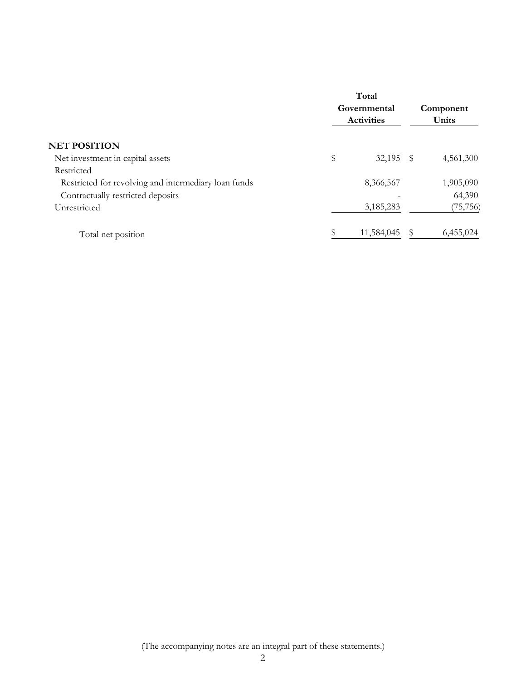|                                                      | Total             |           |
|------------------------------------------------------|-------------------|-----------|
|                                                      | Governmental      | Component |
|                                                      | <b>Activities</b> | Units     |
| <b>NET POSITION</b>                                  |                   |           |
| Net investment in capital assets                     | \$<br>$32,195$ \$ | 4,561,300 |
| Restricted                                           |                   |           |
| Restricted for revolving and intermediary loan funds | 8,366,567         | 1,905,090 |
| Contractually restricted deposits                    |                   | 64,390    |
| Unrestricted                                         | 3,185,283         | (75, 756) |
| Total net position                                   | 11,584,045        | 6,455,024 |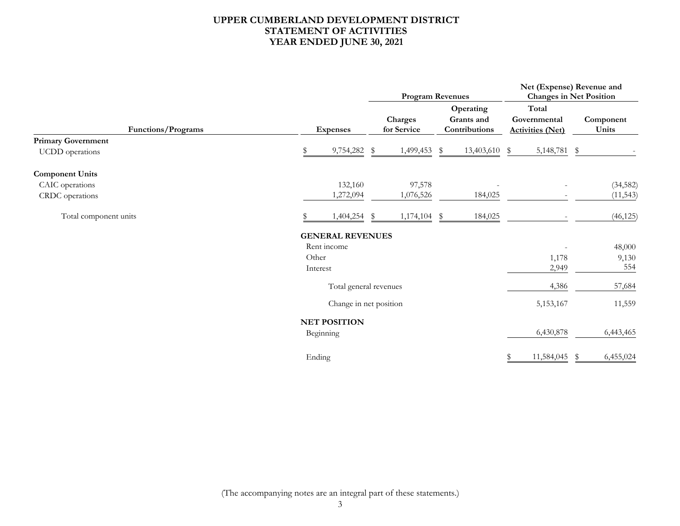#### **UPPER CUMBERLAND DEVELOPMENT DISTRICT STATEMENT OF ACTIVITIES YEAR ENDED JUNE 30, 2021**

|                           |                         | <b>Program Revenues</b> |                                          |                                                  | Net (Expense) Revenue and<br><b>Changes in Net Position</b> |  |
|---------------------------|-------------------------|-------------------------|------------------------------------------|--------------------------------------------------|-------------------------------------------------------------|--|
| Functions/Programs        | <b>Expenses</b>         | Charges<br>for Service  | Operating<br>Grants and<br>Contributions | Total<br>Governmental<br><b>Activities (Net)</b> | Component<br>Units                                          |  |
| <b>Primary Government</b> |                         |                         |                                          |                                                  |                                                             |  |
| <b>UCDD</b> operations    | 9,754,282 \$            | 1,499,453               | 13,403,610 \$<br>\$                      | 5, 148, 781 \$                                   |                                                             |  |
| <b>Component Units</b>    |                         |                         |                                          |                                                  |                                                             |  |
| CAIC operations           | 132,160                 | 97,578                  |                                          |                                                  | (34, 582)                                                   |  |
| CRDC operations           | 1,272,094               | 1,076,526               | 184,025                                  |                                                  | (11, 543)                                                   |  |
| Total component units     | 1,404,254 \$            | 1,174,104               | 184,025<br>\$                            |                                                  | (46, 125)                                                   |  |
|                           | <b>GENERAL REVENUES</b> |                         |                                          |                                                  |                                                             |  |
|                           | Rent income             |                         |                                          |                                                  | 48,000                                                      |  |
|                           | Other                   |                         |                                          | 1,178                                            | 9,130                                                       |  |
|                           | Interest                |                         |                                          | 2,949                                            | 554                                                         |  |
|                           | Total general revenues  |                         |                                          | 4,386                                            | 57,684                                                      |  |
|                           | Change in net position  |                         |                                          | 5,153,167                                        | 11,559                                                      |  |
|                           | <b>NET POSITION</b>     |                         |                                          |                                                  |                                                             |  |
|                           | Beginning               |                         |                                          | 6,430,878                                        | 6,443,465                                                   |  |
|                           | Ending                  |                         |                                          | \$<br>11,584,045                                 | 6,455,024<br>- \$                                           |  |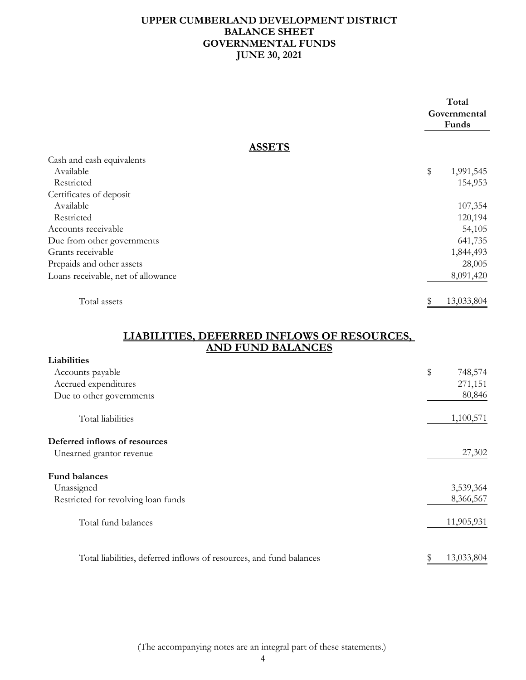## **UPPER CUMBERLAND DEVELOPMENT DISTRICT BALANCE SHEET GOVERNMENTAL FUNDS JUNE 30, 2021**

|                                                                         | Total |                       |
|-------------------------------------------------------------------------|-------|-----------------------|
|                                                                         |       | Governmental<br>Funds |
| <b>ASSETS</b>                                                           |       |                       |
|                                                                         |       |                       |
| Cash and cash equivalents<br>Available                                  | \$    | 1,991,545             |
| Restricted                                                              |       | 154,953               |
| Certificates of deposit                                                 |       |                       |
| Available                                                               |       | 107,354               |
| Restricted                                                              |       | 120,194               |
| Accounts receivable                                                     |       | 54,105                |
| Due from other governments                                              |       | 641,735               |
| Grants receivable                                                       |       | 1,844,493             |
| Prepaids and other assets                                               |       | 28,005                |
| Loans receivable, net of allowance                                      |       | 8,091,420             |
| Total assets                                                            | \$    | 13,033,804            |
| <b>LIABILITIES, DEFERRED INFLOWS OF RESOURCES,</b><br>AND FUND BALANCES |       |                       |
| <b>Liabilities</b>                                                      |       |                       |
| Accounts payable                                                        | \$    | 748,574               |
| Accrued expenditures                                                    |       | 271,151               |
| Due to other governments                                                |       | 80,846                |
| Total liabilities                                                       |       | 1,100,571             |
| Deferred inflows of resources                                           |       |                       |
| Unearned grantor revenue                                                |       | 27,302                |
| <b>Fund balances</b>                                                    |       |                       |

Unassigned 3,539,364 Restricted for revolving loan funds 8,366,567

Total fund balances 11,905,931

Total liabilities, deferred inflows of resources, and fund balances  $$ 13,033,804$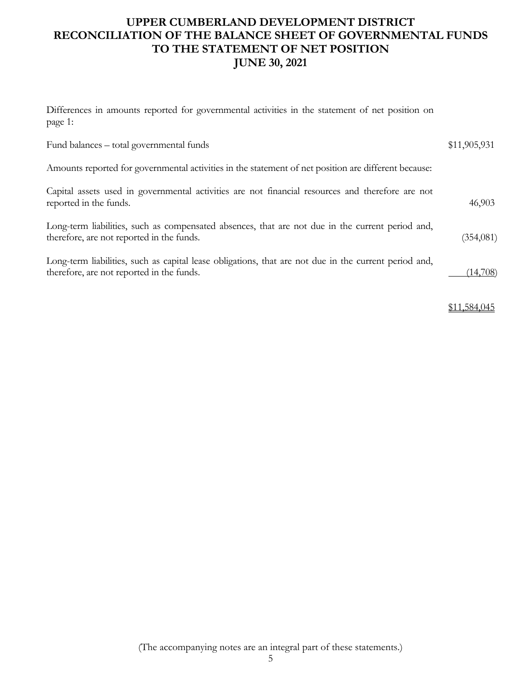## **UPPER CUMBERLAND DEVELOPMENT DISTRICT RECONCILIATION OF THE BALANCE SHEET OF GOVERNMENTAL FUNDS TO THE STATEMENT OF NET POSITION JUNE 30, 2021**

Differences in amounts reported for governmental activities in the statement of net position on page 1: Fund balances – total governmental funds  $$11,905,931$ Amounts reported for governmental activities in the statement of net position are different because: Capital assets used in governmental activities are not financial resources and therefore are not reported in the funds. 46,903 Long-term liabilities, such as compensated absences, that are not due in the current period and, therefore, are not reported in the funds. (354,081) Long-term liabilities, such as capital lease obligations, that are not due in the current period and, therefore, are not reported in the funds. (14,708)

\$11,584,045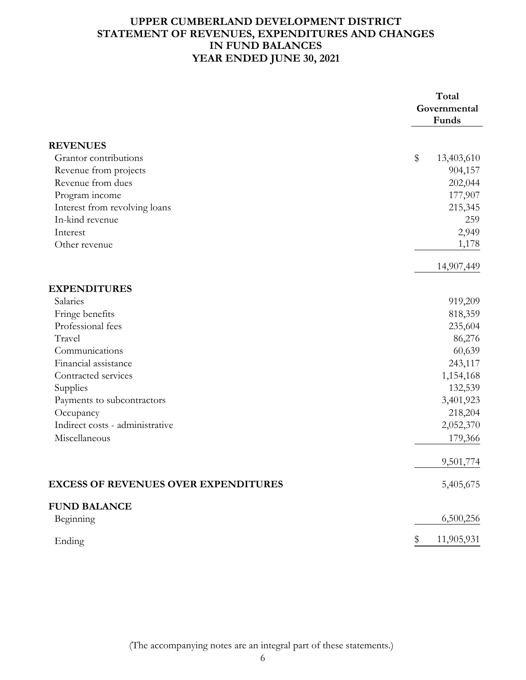## **UPPER CUMBERLAND DEVELOPMENT DISTRICT STATEMENT OF REVENUES, EXPENDITURES AND CHANGES YEAR ENDED JUNE 30, 2021 IN FUND BALANCES**

|                                             | Total                 |
|---------------------------------------------|-----------------------|
|                                             | Governmental<br>Funds |
|                                             |                       |
| <b>REVENUES</b>                             |                       |
| Grantor contributions                       | \$<br>13,403,610      |
| Revenue from projects<br>Revenue from dues  | 904,157               |
|                                             | 202,044               |
| Program income                              | 177,907               |
| Interest from revolving loans               | 215,345               |
| In-kind revenue                             | 259                   |
| Interest                                    | 2,949                 |
| Other revenue                               | 1,178                 |
|                                             | 14,907,449            |
| <b>EXPENDITURES</b>                         |                       |
| Salaries                                    | 919,209               |
| Fringe benefits                             | 818,359               |
| Professional fees                           | 235,604               |
| Travel                                      | 86,276                |
| Communications                              | 60,639                |
| Financial assistance                        | 243,117               |
| Contracted services                         | 1,154,168             |
| Supplies                                    | 132,539               |
| Payments to subcontractors                  | 3,401,923             |
| Occupancy                                   | 218,204               |
| Indirect costs - administrative             | 2,052,370             |
| Miscellaneous                               | 179,366               |
|                                             | 9,501,774             |
| <b>EXCESS OF REVENUES OVER EXPENDITURES</b> | 5,405,675             |
| <b>FUND BALANCE</b>                         |                       |
| Beginning                                   | 6,500,256             |
| Ending                                      | 11,905,931<br>\$      |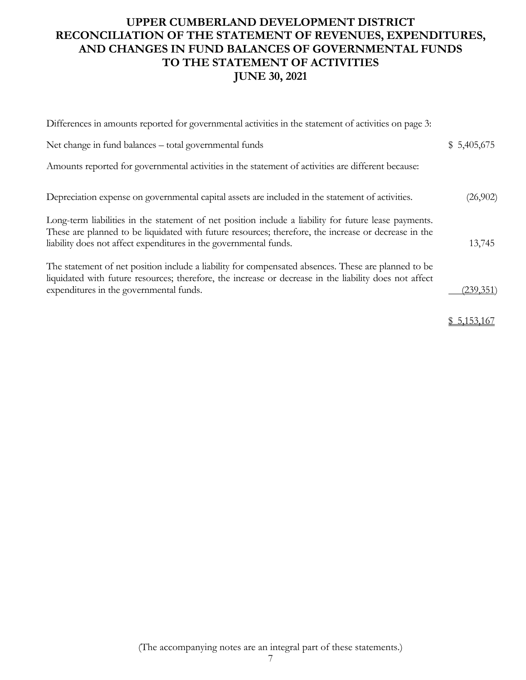## **UPPER CUMBERLAND DEVELOPMENT DISTRICT RECONCILIATION OF THE STATEMENT OF REVENUES, EXPENDITURES, AND CHANGES IN FUND BALANCES OF GOVERNMENTAL FUNDS TO THE STATEMENT OF ACTIVITIES JUNE 30, 2021**

| Differences in amounts reported for governmental activities in the statement of activities on page 3:                                                                                                                                                                              |             |
|------------------------------------------------------------------------------------------------------------------------------------------------------------------------------------------------------------------------------------------------------------------------------------|-------------|
| Net change in fund balances - total governmental funds                                                                                                                                                                                                                             | \$5,405,675 |
| Amounts reported for governmental activities in the statement of activities are different because:                                                                                                                                                                                 |             |
| Depreciation expense on governmental capital assets are included in the statement of activities.                                                                                                                                                                                   | (26,902)    |
| Long-term liabilities in the statement of net position include a liability for future lease payments.<br>These are planned to be liquidated with future resources; therefore, the increase or decrease in the<br>liability does not affect expenditures in the governmental funds. | 13,745      |
| The statement of net position include a liability for compensated absences. These are planned to be<br>liquidated with future resources; therefore, the increase or decrease in the liability does not affect<br>expenditures in the governmental funds.                           | (239,351)   |
|                                                                                                                                                                                                                                                                                    | \$5,153,167 |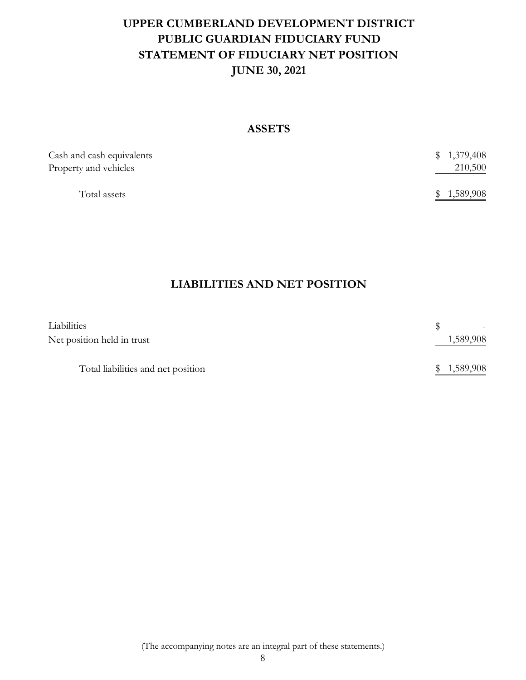# **UPPER CUMBERLAND DEVELOPMENT DISTRICT PUBLIC GUARDIAN FIDUCIARY FUND STATEMENT OF FIDUCIARY NET POSITION JUNE 30, 2021**

## **ASSETS**

| Cash and cash equivalents | \$1,379,408 |
|---------------------------|-------------|
| Property and vehicles     | 210,500     |
| Total assets              | \$1,589,908 |

## **LIABILITIES AND NET POSITION**

| Liabilities                        |                 |
|------------------------------------|-----------------|
| Net position held in trust         | 1,589,908       |
|                                    |                 |
| Total liabilities and net position | 1,589,908<br>S. |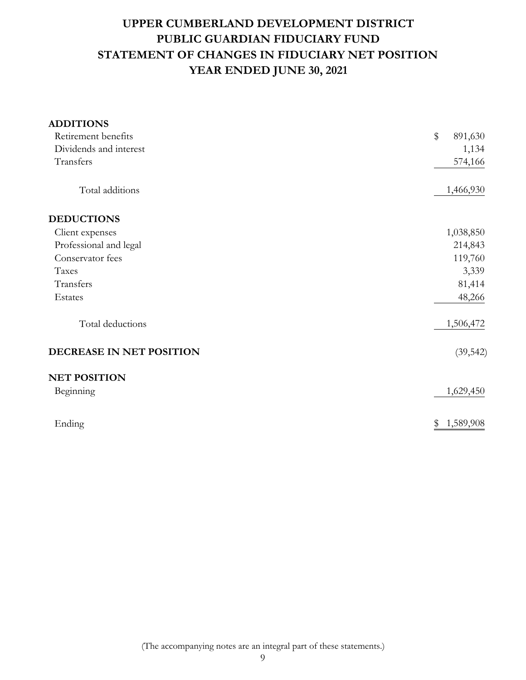# **UPPER CUMBERLAND DEVELOPMENT DISTRICT PUBLIC GUARDIAN FIDUCIARY FUND STATEMENT OF CHANGES IN FIDUCIARY NET POSITION YEAR ENDED JUNE 30, 2021**

| <b>ADDITIONS</b>         |               |
|--------------------------|---------------|
| Retirement benefits      | \$<br>891,630 |
| Dividends and interest   | 1,134         |
| Transfers                | 574,166       |
| Total additions          | 1,466,930     |
| <b>DEDUCTIONS</b>        |               |
| Client expenses          | 1,038,850     |
| Professional and legal   | 214,843       |
| Conservator fees         | 119,760       |
| Taxes                    | 3,339         |
| Transfers                | 81,414        |
| Estates                  | 48,266        |
| Total deductions         | 1,506,472     |
| DECREASE IN NET POSITION | (39, 542)     |
| <b>NET POSITION</b>      |               |
| Beginning                | 1,629,450     |
| Ending                   | \$1,589,908   |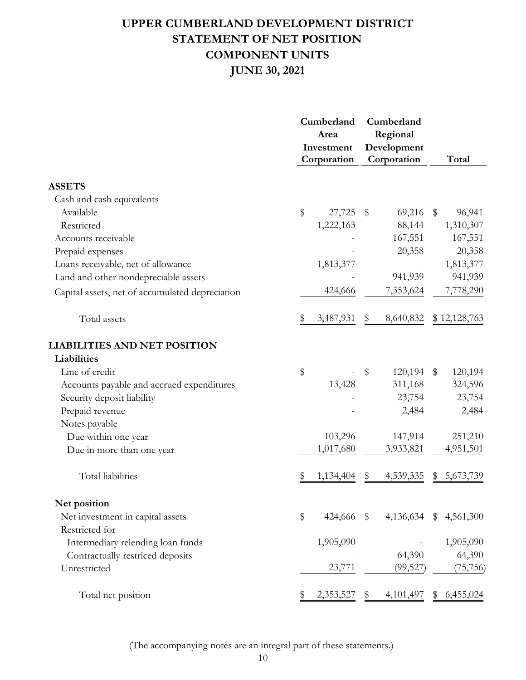## **UPPER CUMBERLAND DEVELOPMENT DISTRICT STATEMENT OF NET POSITION COMPONENT UNITS JUNE 30, 2021**

|                                                 | Cumberland<br>Area                       |    | Cumberland<br>Regional |      |              |
|-------------------------------------------------|------------------------------------------|----|------------------------|------|--------------|
|                                                 | Development<br>Investment<br>Corporation |    |                        |      | Total        |
|                                                 |                                          |    | Corporation            |      |              |
| <b>ASSETS</b>                                   |                                          |    |                        |      |              |
| Cash and cash equivalents                       |                                          |    |                        |      |              |
| Available                                       | \$<br>27,725                             | \$ | 69,216                 | - \$ | 96,941       |
| Restricted                                      | 1,222,163                                |    | 88,144                 |      | 1,310,307    |
| Accounts receivable                             |                                          |    | 167,551                |      | 167,551      |
| Prepaid expenses                                |                                          |    | 20,358                 |      | 20,358       |
| Loans receivable, net of allowance              | 1,813,377                                |    |                        |      | 1,813,377    |
| Land and other nondepreciable assets            |                                          |    | 941,939                |      | 941,939      |
| Capital assets, net of accumulated depreciation | 424,666                                  |    | 7,353,624              |      | 7,778,290    |
| Total assets                                    | \$<br>3,487,931                          | \$ | 8,640,832              |      | \$12,128,763 |
| <b>LIABILITIES AND NET POSITION</b>             |                                          |    |                        |      |              |
| Liabilities                                     |                                          |    |                        |      |              |
| Line of credit                                  | \$                                       | \$ | 120,194 \$             |      | 120,194      |
| Accounts payable and accrued expenditures       | 13,428                                   |    | 311,168                |      | 324,596      |
| Security deposit liability                      |                                          |    | 23,754                 |      | 23,754       |
| Prepaid revenue                                 |                                          |    | 2,484                  |      | 2,484        |
| Notes payable                                   |                                          |    |                        |      |              |
| Due within one year                             | 103,296                                  |    | 147,914                |      | 251,210      |
| Due in more than one year                       | 1,017,680                                |    | 3,933,821              |      | 4,951,501    |
| Total liabilities                               | 1,134,404                                | \$ | 4,539,335              | \$   | 5,673,739    |
| Net position                                    |                                          |    |                        |      |              |
| Net investment in capital assets                | \$<br>424,666 \$                         |    | 4,136,634 \$4,561,300  |      |              |
| Restricted for                                  |                                          |    |                        |      |              |
| Intermediary relending loan funds               | 1,905,090                                |    |                        |      | 1,905,090    |
| Contractually restriced deposits                |                                          |    | 64,390                 |      | 64,390       |
| Unrestricted                                    | 23,771                                   |    | (99, 527)              |      | (75, 756)    |
| Total net position                              | 2,353,527                                | \$ | 4, 101, 497            | \$   | 6,455,024    |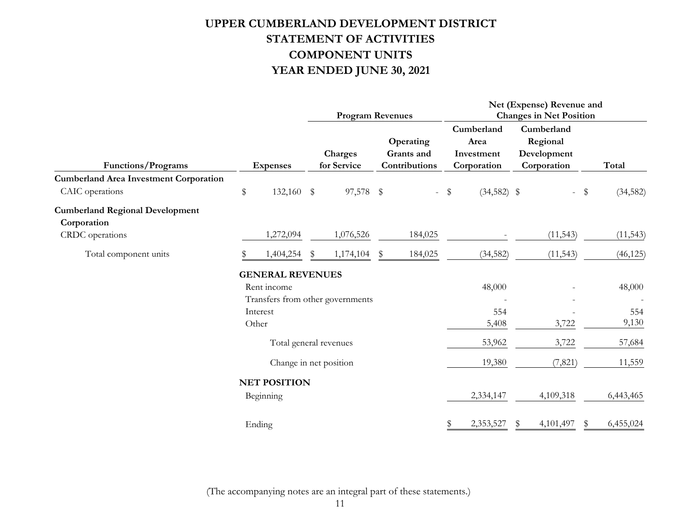# **UPPER CUMBERLAND DEVELOPMENT DISTRICT STATEMENT OF ACTIVITIES COMPONENT UNITS YEAR ENDED JUNE 30, 2021**

|                                                       |    |                         |  | <b>Program Revenues</b>          |   |                                          |        | Net (Expense) Revenue and<br><b>Changes in Net Position</b> |                                                      |        |           |  |  |
|-------------------------------------------------------|----|-------------------------|--|----------------------------------|---|------------------------------------------|--------|-------------------------------------------------------------|------------------------------------------------------|--------|-----------|--|--|
| Functions/Programs                                    |    | <b>Expenses</b>         |  | Charges<br>for Service           |   | Operating<br>Grants and<br>Contributions |        | Cumberland<br>Area<br>Investment<br>Corporation             | Cumberland<br>Regional<br>Development<br>Corporation |        | Total     |  |  |
| <b>Cumberland Area Investment Corporation</b>         |    |                         |  |                                  |   |                                          |        |                                                             |                                                      |        |           |  |  |
| CAIC operations                                       | \$ | 132,160 \$              |  | 97,578 \$                        |   |                                          | $-$ \$ | $(34,582)$ \$                                               |                                                      | $-$ \$ | (34, 582) |  |  |
| <b>Cumberland Regional Development</b><br>Corporation |    |                         |  |                                  |   |                                          |        |                                                             |                                                      |        |           |  |  |
| CRDC operations                                       |    | 1,272,094               |  | 1,076,526                        |   | 184,025                                  |        |                                                             | (11, 543)                                            |        | (11, 543) |  |  |
| Total component units                                 |    | 1,404,254               |  | 1,174,104                        | S | 184,025                                  |        | (34, 582)                                                   | (11, 543)                                            |        | (46, 125) |  |  |
|                                                       |    | <b>GENERAL REVENUES</b> |  |                                  |   |                                          |        |                                                             |                                                      |        |           |  |  |
|                                                       |    | Rent income             |  |                                  |   |                                          |        | 48,000                                                      |                                                      |        | 48,000    |  |  |
|                                                       |    |                         |  | Transfers from other governments |   |                                          |        |                                                             |                                                      |        |           |  |  |
|                                                       |    | Interest                |  |                                  |   |                                          |        | 554                                                         |                                                      |        | 554       |  |  |
|                                                       |    | Other                   |  |                                  |   |                                          |        | 5,408                                                       | 3,722                                                |        | 9,130     |  |  |
|                                                       |    |                         |  | Total general revenues           |   |                                          |        | 53,962                                                      | 3,722                                                |        | 57,684    |  |  |
|                                                       |    |                         |  | Change in net position           |   |                                          |        | 19,380                                                      | (7, 821)                                             |        | 11,559    |  |  |
|                                                       |    | <b>NET POSITION</b>     |  |                                  |   |                                          |        |                                                             |                                                      |        |           |  |  |
|                                                       |    | Beginning               |  |                                  |   |                                          |        | 2,334,147                                                   | 4,109,318                                            |        | 6,443,465 |  |  |
|                                                       |    | Ending                  |  |                                  |   |                                          | \$     | 2,353,527                                                   | 4,101,497<br>\$                                      | \$     | 6,455,024 |  |  |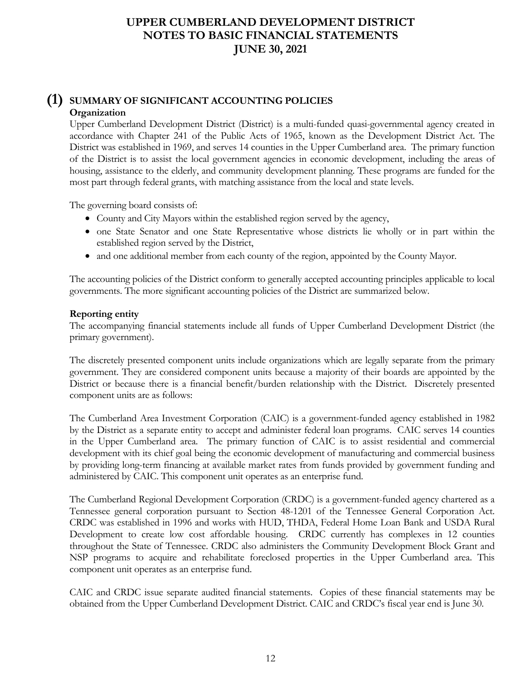## **(1) SUMMARY OF SIGNIFICANT ACCOUNTING POLICIES Organization**

Upper Cumberland Development District (District) is a multi-funded quasi-governmental agency created in accordance with Chapter 241 of the Public Acts of 1965, known as the Development District Act. The District was established in 1969, and serves 14 counties in the Upper Cumberland area. The primary function of the District is to assist the local government agencies in economic development, including the areas of housing, assistance to the elderly, and community development planning. These programs are funded for the most part through federal grants, with matching assistance from the local and state levels.

The governing board consists of:

- County and City Mayors within the established region served by the agency,
- one State Senator and one State Representative whose districts lie wholly or in part within the established region served by the District,
- and one additional member from each county of the region, appointed by the County Mayor.

The accounting policies of the District conform to generally accepted accounting principles applicable to local governments. The more significant accounting policies of the District are summarized below.

## **Reporting entity**

The accompanying financial statements include all funds of Upper Cumberland Development District (the primary government).

The discretely presented component units include organizations which are legally separate from the primary government. They are considered component units because a majority of their boards are appointed by the District or because there is a financial benefit/burden relationship with the District. Discretely presented component units are as follows:

The Cumberland Area Investment Corporation (CAIC) is a government-funded agency established in 1982 by the District as a separate entity to accept and administer federal loan programs. CAIC serves 14 counties in the Upper Cumberland area. The primary function of CAIC is to assist residential and commercial development with its chief goal being the economic development of manufacturing and commercial business by providing long-term financing at available market rates from funds provided by government funding and administered by CAIC. This component unit operates as an enterprise fund.

The Cumberland Regional Development Corporation (CRDC) is a government-funded agency chartered as a Tennessee general corporation pursuant to Section 48-1201 of the Tennessee General Corporation Act. CRDC was established in 1996 and works with HUD, THDA, Federal Home Loan Bank and USDA Rural Development to create low cost affordable housing. CRDC currently has complexes in 12 counties throughout the State of Tennessee. CRDC also administers the Community Development Block Grant and NSP programs to acquire and rehabilitate foreclosed properties in the Upper Cumberland area. This component unit operates as an enterprise fund.

CAIC and CRDC issue separate audited financial statements. Copies of these financial statements may be obtained from the Upper Cumberland Development District. CAIC and CRDC's fiscal year end is June 30.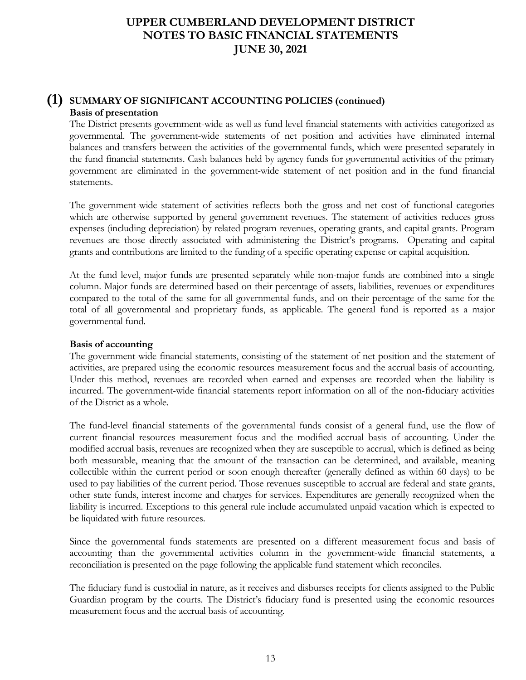## **(1) SUMMARY OF SIGNIFICANT ACCOUNTING POLICIES (continued) Basis of presentation**

The District presents government-wide as well as fund level financial statements with activities categorized as governmental. The government-wide statements of net position and activities have eliminated internal balances and transfers between the activities of the governmental funds, which were presented separately in the fund financial statements. Cash balances held by agency funds for governmental activities of the primary government are eliminated in the government-wide statement of net position and in the fund financial statements.

The government-wide statement of activities reflects both the gross and net cost of functional categories which are otherwise supported by general government revenues. The statement of activities reduces gross expenses (including depreciation) by related program revenues, operating grants, and capital grants. Program revenues are those directly associated with administering the District's programs. Operating and capital grants and contributions are limited to the funding of a specific operating expense or capital acquisition.

At the fund level, major funds are presented separately while non-major funds are combined into a single column. Major funds are determined based on their percentage of assets, liabilities, revenues or expenditures compared to the total of the same for all governmental funds, and on their percentage of the same for the total of all governmental and proprietary funds, as applicable. The general fund is reported as a major governmental fund.

## **Basis of accounting**

The government-wide financial statements, consisting of the statement of net position and the statement of activities, are prepared using the economic resources measurement focus and the accrual basis of accounting. Under this method, revenues are recorded when earned and expenses are recorded when the liability is incurred. The government-wide financial statements report information on all of the non-fiduciary activities of the District as a whole.

The fund-level financial statements of the governmental funds consist of a general fund, use the flow of current financial resources measurement focus and the modified accrual basis of accounting. Under the modified accrual basis, revenues are recognized when they are susceptible to accrual, which is defined as being both measurable, meaning that the amount of the transaction can be determined, and available, meaning collectible within the current period or soon enough thereafter (generally defined as within 60 days) to be used to pay liabilities of the current period. Those revenues susceptible to accrual are federal and state grants, other state funds, interest income and charges for services. Expenditures are generally recognized when the liability is incurred. Exceptions to this general rule include accumulated unpaid vacation which is expected to be liquidated with future resources.

Since the governmental funds statements are presented on a different measurement focus and basis of accounting than the governmental activities column in the government-wide financial statements, a reconciliation is presented on the page following the applicable fund statement which reconciles.

The fiduciary fund is custodial in nature, as it receives and disburses receipts for clients assigned to the Public Guardian program by the courts. The District's fiduciary fund is presented using the economic resources measurement focus and the accrual basis of accounting.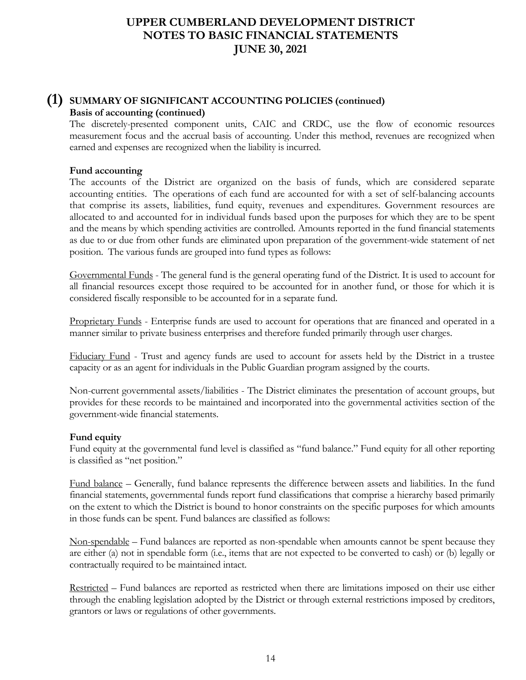## **(1) SUMMARY OF SIGNIFICANT ACCOUNTING POLICIES (continued) Basis of accounting (continued)**

The discretely-presented component units, CAIC and CRDC, use the flow of economic resources measurement focus and the accrual basis of accounting. Under this method, revenues are recognized when earned and expenses are recognized when the liability is incurred.

## **Fund accounting**

The accounts of the District are organized on the basis of funds, which are considered separate accounting entities. The operations of each fund are accounted for with a set of self-balancing accounts that comprise its assets, liabilities, fund equity, revenues and expenditures. Government resources are allocated to and accounted for in individual funds based upon the purposes for which they are to be spent and the means by which spending activities are controlled. Amounts reported in the fund financial statements as due to or due from other funds are eliminated upon preparation of the government-wide statement of net position. The various funds are grouped into fund types as follows:

Governmental Funds - The general fund is the general operating fund of the District. It is used to account for all financial resources except those required to be accounted for in another fund, or those for which it is considered fiscally responsible to be accounted for in a separate fund.

Proprietary Funds - Enterprise funds are used to account for operations that are financed and operated in a manner similar to private business enterprises and therefore funded primarily through user charges.

Fiduciary Fund - Trust and agency funds are used to account for assets held by the District in a trustee capacity or as an agent for individuals in the Public Guardian program assigned by the courts.

Non-current governmental assets/liabilities - The District eliminates the presentation of account groups, but provides for these records to be maintained and incorporated into the governmental activities section of the government-wide financial statements.

## **Fund equity**

Fund equity at the governmental fund level is classified as "fund balance." Fund equity for all other reporting is classified as "net position."

Fund balance – Generally, fund balance represents the difference between assets and liabilities. In the fund financial statements, governmental funds report fund classifications that comprise a hierarchy based primarily on the extent to which the District is bound to honor constraints on the specific purposes for which amounts in those funds can be spent. Fund balances are classified as follows:

Non-spendable – Fund balances are reported as non-spendable when amounts cannot be spent because they are either (a) not in spendable form (i.e., items that are not expected to be converted to cash) or (b) legally or contractually required to be maintained intact.

Restricted – Fund balances are reported as restricted when there are limitations imposed on their use either through the enabling legislation adopted by the District or through external restrictions imposed by creditors, grantors or laws or regulations of other governments.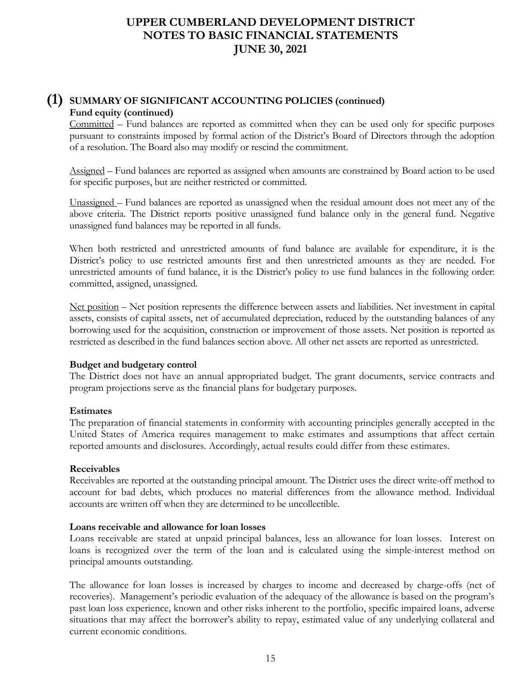## **(1) SUMMARY OF SIGNIFICANT ACCOUNTING POLICIES (continued) Fund equity (continued)**

Committed – Fund balances are reported as committed when they can be used only for specific purposes pursuant to constraints imposed by formal action of the District's Board of Directors through the adoption of a resolution. The Board also may modify or rescind the commitment.

Assigned – Fund balances are reported as assigned when amounts are constrained by Board action to be used for specific purposes, but are neither restricted or committed.

Unassigned – Fund balances are reported as unassigned when the residual amount does not meet any of the above criteria. The District reports positive unassigned fund balance only in the general fund. Negative unassigned fund balances may be reported in all funds.

When both restricted and unrestricted amounts of fund balance are available for expenditure, it is the District's policy to use restricted amounts first and then unrestricted amounts as they are needed. For unrestricted amounts of fund balance, it is the District's policy to use fund balances in the following order: committed, assigned, unassigned.

Net position – Net position represents the difference between assets and liabilities. Net investment in capital assets, consists of capital assets, net of accumulated depreciation, reduced by the outstanding balances of any borrowing used for the acquisition, construction or improvement of those assets. Net position is reported as restricted as described in the fund balances section above. All other net assets are reported as unrestricted.

## **Budget and budgetary control**

The District does not have an annual appropriated budget. The grant documents, service contracts and program projections serve as the financial plans for budgetary purposes.

## **Estimates**

The preparation of financial statements in conformity with accounting principles generally accepted in the United States of America requires management to make estimates and assumptions that affect certain reported amounts and disclosures. Accordingly, actual results could differ from these estimates.

#### **Receivables**

Receivables are reported at the outstanding principal amount. The District uses the direct write-off method to account for bad debts, which produces no material differences from the allowance method. Individual accounts are written off when they are determined to be uncollectible.

#### **Loans receivable and allowance for loan losses**

Loans receivable are stated at unpaid principal balances, less an allowance for loan losses. Interest on loans is recognized over the term of the loan and is calculated using the simple-interest method on principal amounts outstanding.

The allowance for loan losses is increased by charges to income and decreased by charge-offs (net of recoveries). Management's periodic evaluation of the adequacy of the allowance is based on the program's past loan loss experience, known and other risks inherent to the portfolio, specific impaired loans, adverse situations that may affect the borrower's ability to repay, estimated value of any underlying collateral and current economic conditions.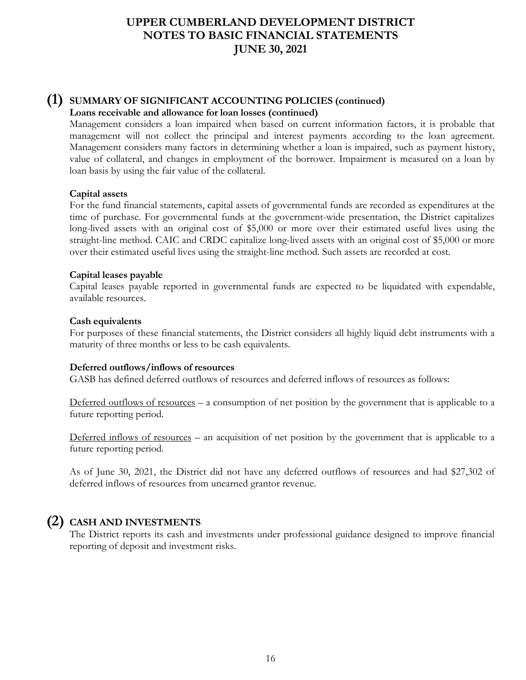## **(1) SUMMARY OF SIGNIFICANT ACCOUNTING POLICIES (continued) Loans receivable and allowance for loan losses (continued)**

Management considers a loan impaired when based on current information factors, it is probable that management will not collect the principal and interest payments according to the loan agreement. Management considers many factors in determining whether a loan is impaired, such as payment history, value of collateral, and changes in employment of the borrower. Impairment is measured on a loan by loan basis by using the fair value of the collateral.

## **Capital assets**

For the fund financial statements, capital assets of governmental funds are recorded as expenditures at the time of purchase. For governmental funds at the government-wide presentation, the District capitalizes long-lived assets with an original cost of \$5,000 or more over their estimated useful lives using the straight-line method. CAIC and CRDC capitalize long-lived assets with an original cost of \$5,000 or more over their estimated useful lives using the straight-line method. Such assets are recorded at cost.

#### **Capital leases payable**

Capital leases payable reported in governmental funds are expected to be liquidated with expendable, available resources.

#### **Cash equivalents**

For purposes of these financial statements, the District considers all highly liquid debt instruments with a maturity of three months or less to be cash equivalents.

#### **Deferred outflows/inflows of resources**

GASB has defined deferred outflows of resources and deferred inflows of resources as follows:

Deferred outflows of resources – a consumption of net position by the government that is applicable to a future reporting period.

Deferred inflows of resources – an acquisition of net position by the government that is applicable to a future reporting period.

As of June 30, 2021, the District did not have any deferred outflows of resources and had \$27,302 of deferred inflows of resources from unearned grantor revenue.



## **(2) CASH AND INVESTMENTS**

The District reports its cash and investments under professional guidance designed to improve financial reporting of deposit and investment risks.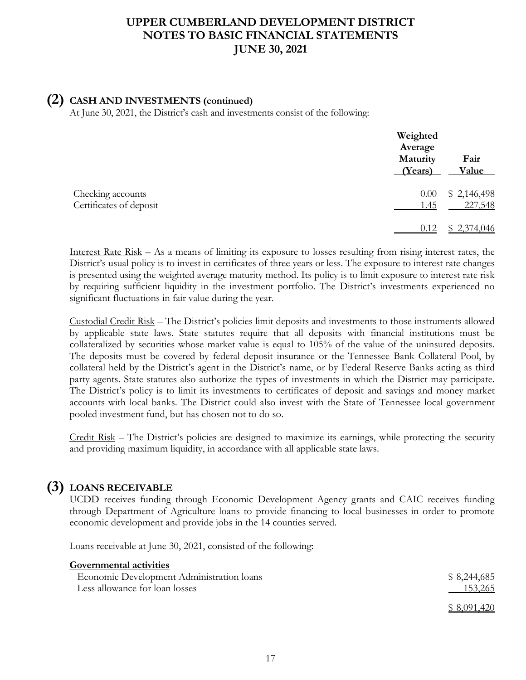## **(2) CASH AND INVESTMENTS (continued)**

At June 30, 2021, the District's cash and investments consist of the following:

|                         | Weighted<br>Average<br>Maturity<br>Fair<br>Value<br>(Years) |  |
|-------------------------|-------------------------------------------------------------|--|
| Checking accounts       | \$2,146,498<br>0.00 <sub>1</sub>                            |  |
| Certificates of deposit | 227,548<br>1.45                                             |  |
|                         | \$2,374,046<br>0.12                                         |  |

Interest Rate Risk – As a means of limiting its exposure to losses resulting from rising interest rates, the District's usual policy is to invest in certificates of three years or less. The exposure to interest rate changes is presented using the weighted average maturity method. Its policy is to limit exposure to interest rate risk by requiring sufficient liquidity in the investment portfolio. The District's investments experienced no significant fluctuations in fair value during the year.

Custodial Credit Risk – The District's policies limit deposits and investments to those instruments allowed by applicable state laws. State statutes require that all deposits with financial institutions must be collateralized by securities whose market value is equal to 105% of the value of the uninsured deposits. The deposits must be covered by federal deposit insurance or the Tennessee Bank Collateral Pool, by collateral held by the District's agent in the District's name, or by Federal Reserve Banks acting as third party agents. State statutes also authorize the types of investments in which the District may participate. The District's policy is to limit its investments to certificates of deposit and savings and money market accounts with local banks. The District could also invest with the State of Tennessee local government pooled investment fund, but has chosen not to do so.

Credit Risk – The District's policies are designed to maximize its earnings, while protecting the security and providing maximum liquidity, in accordance with all applicable state laws.

## **(3) LOANS RECEIVABLE**

UCDD receives funding through Economic Development Agency grants and CAIC receives funding through Department of Agriculture loans to provide financing to local businesses in order to promote economic development and provide jobs in the 14 counties served.

Loans receivable at June 30, 2021, consisted of the following:

| Governmental activities                   |              |
|-------------------------------------------|--------------|
| Economic Development Administration loans | \$8,244,685  |
| Less allowance for loan losses            | 153,265      |
|                                           | \$ 8.091.420 |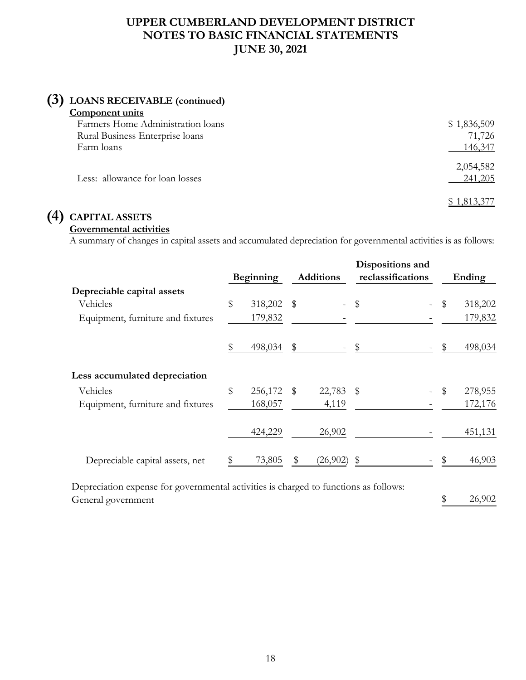# **(3) LOANS RECEIVABLE (continued)**

| <b>Component units</b>            |                    |
|-----------------------------------|--------------------|
| Farmers Home Administration loans | \$1,836,509        |
| Rural Business Enterprise loans   | 71,726             |
| Farm loans                        | 146,347            |
|                                   | 2,054,582          |
| Less: allowance for loan losses   | 241,205            |
|                                   | <u>\$1,813,377</u> |

## **(4) CAPITAL ASSETS**

## **Governmental activities**

A summary of changes in capital assets and accumulated depreciation for governmental activities is as follows:

|              |                  |                                     | Dispositions and<br>reclassifications | Ending      |          |  |
|--------------|------------------|-------------------------------------|---------------------------------------|-------------|----------|--|
|              |                  |                                     |                                       |             |          |  |
| \$           |                  |                                     | \$                                    | \$          | 318,202  |  |
| 179,832      |                  |                                     |                                       |             | 179,832  |  |
| \$           | $\frac{1}{2}$    |                                     | \$                                    | \$          | 498,034  |  |
|              |                  |                                     |                                       |             |          |  |
| \$           |                  |                                     |                                       | \$          | 278,955  |  |
| 168,057      |                  | 4,119                               |                                       |             | 172,176  |  |
| 424,229      |                  | 26,902                              |                                       |             | 451,131  |  |
| \$<br>73,805 | \$               | (26,902)                            | \$                                    | \$          | 46,903   |  |
|              | <b>Beginning</b> | 318,202 \$<br>498,034<br>256,172 \$ | <b>Additions</b>                      | $22,783$ \$ | $\equiv$ |  |

Depreciation expense for governmental activities is charged to functions as follows: General government  $\qquad$  26,902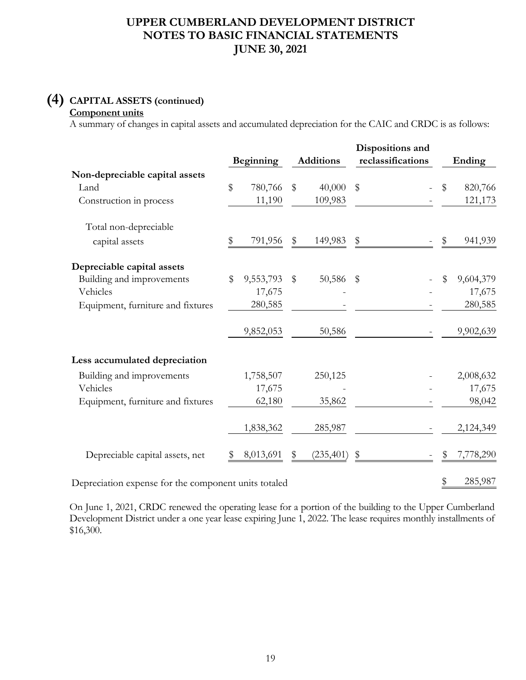# **(4) CAPITAL ASSETS (continued)**

## **Component units**

A summary of changes in capital assets and accumulated depreciation for the CAIC and CRDC is as follows:

|                                                      | <b>Beginning</b> |               | <b>Additions</b> | Dispositions and<br>reclassifications | Ending          |
|------------------------------------------------------|------------------|---------------|------------------|---------------------------------------|-----------------|
| Non-depreciable capital assets                       |                  |               |                  |                                       |                 |
| Land                                                 | \$<br>780,766    | \$            | 40,000           | \$                                    | \$<br>820,766   |
| Construction in process                              | 11,190           |               | 109,983          |                                       | 121,173         |
| Total non-depreciable                                |                  |               |                  |                                       |                 |
| capital assets                                       | \$<br>791,956    | $\frac{1}{2}$ | 149,983          | \$                                    | \$<br>941,939   |
| Depreciable capital assets                           |                  |               |                  |                                       |                 |
| Building and improvements                            | \$<br>9,553,793  | \$            | 50,586           | \$                                    | \$<br>9,604,379 |
| Vehicles                                             | 17,675           |               |                  |                                       | 17,675          |
| Equipment, furniture and fixtures                    | 280,585          |               |                  |                                       | 280,585         |
|                                                      | 9,852,053        |               | 50,586           |                                       | 9,902,639       |
| Less accumulated depreciation                        |                  |               |                  |                                       |                 |
| Building and improvements                            | 1,758,507        |               | 250,125          |                                       | 2,008,632       |
| Vehicles                                             | 17,675           |               |                  |                                       | 17,675          |
| Equipment, furniture and fixtures                    | 62,180           |               | 35,862           |                                       | 98,042          |
|                                                      | 1,838,362        |               | 285,987          |                                       | 2,124,349       |
| Depreciable capital assets, net                      | \$<br>8,013,691  | \$            | (235, 401)       | \$                                    | 7,778,290       |
| Depreciation expense for the component units totaled |                  |               |                  |                                       | \$<br>285,987   |

On June 1, 2021, CRDC renewed the operating lease for a portion of the building to the Upper Cumberland Development District under a one year lease expiring June 1, 2022. The lease requires monthly installments of \$16,300.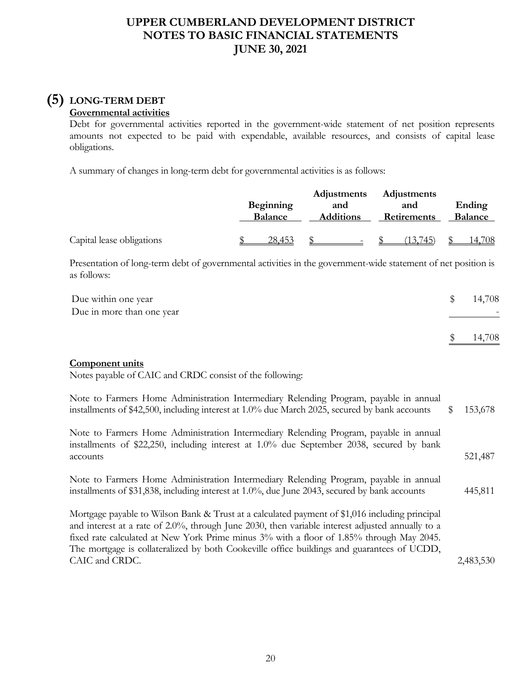# **(5) LONG-TERM DEBT**

## **Governmental activities**

Debt for governmental activities reported in the government-wide statement of net position represents amounts not expected to be paid with expendable, available resources, and consists of capital lease obligations.

A summary of changes in long-term debt for governmental activities is as follows:

|                           |  | <b>Beginning</b><br><b>Balance</b> |  | Adjustments<br>and<br><b>Additions</b> |  | Adjustments<br>and<br><b>Retirements</b> |  | Ending<br><b>Balance</b> |  |
|---------------------------|--|------------------------------------|--|----------------------------------------|--|------------------------------------------|--|--------------------------|--|
| Capital lease obligations |  | 28,453                             |  | $\overline{\phantom{0}}$               |  | (13,745)                                 |  | 708                      |  |

Presentation of long-term debt of governmental activities in the government-wide statement of net position is as follows:

| Due within one year       | <sup>S</sup>  | 14,708 |
|---------------------------|---------------|--------|
| Due in more than one year |               |        |
|                           | <sup>\$</sup> | 14,708 |

## **Component units**

Notes payable of CAIC and CRDC consist of the following:

| Note to Farmers Home Administration Intermediary Relending Program, payable in annual<br>installments of \$42,500, including interest at 1.0% due March 2025, secured by bank accounts                                                                                                                                                                                                       | Ж | 153,678   |
|----------------------------------------------------------------------------------------------------------------------------------------------------------------------------------------------------------------------------------------------------------------------------------------------------------------------------------------------------------------------------------------------|---|-----------|
| Note to Farmers Home Administration Intermediary Relending Program, payable in annual<br>installments of \$22,250, including interest at $1.0\%$ due September 2038, secured by bank<br>accounts                                                                                                                                                                                             |   | 521,487   |
| Note to Farmers Home Administration Intermediary Relending Program, payable in annual<br>installments of \$31,838, including interest at 1.0%, due June 2043, secured by bank accounts                                                                                                                                                                                                       |   | 445,811   |
| Mortgage payable to Wilson Bank & Trust at a calculated payment of \$1,016 including principal<br>and interest at a rate of 2.0%, through June 2030, then variable interest adjusted annually to a<br>fixed rate calculated at New York Prime minus 3% with a floor of 1.85% through May 2045.<br>The mortgage is collateralized by both Cookeville office buildings and guarantees of UCDD, |   |           |
| CAIC and CRDC.                                                                                                                                                                                                                                                                                                                                                                               |   | 2,483,530 |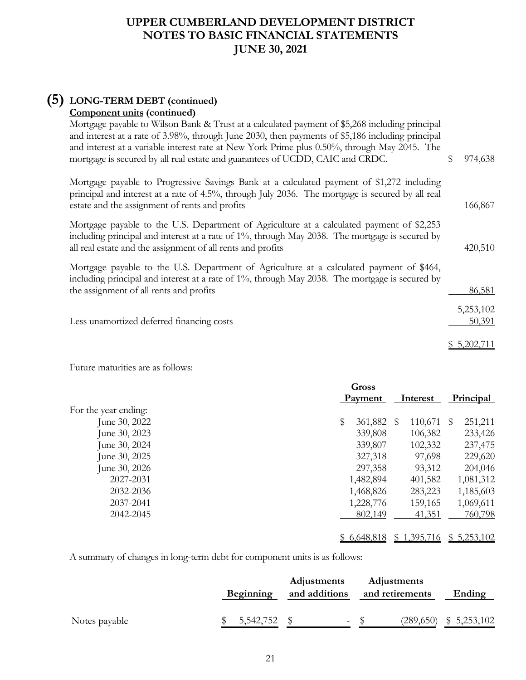## **(5) LONG-TERM DEBT (continued) Component units (continued)**

| Mortgage payable to Wilson Bank & Trust at a calculated payment of \$5,268 including principal<br>and interest at a rate of 3.98%, through June 2030, then payments of \$5,186 including principal<br>and interest at a variable interest rate at New York Prime plus 0.50%, through May 2045. The<br>mortgage is secured by all real estate and guarantees of UCDD, CAIC and CRDC. | \$<br>974,638       |
|-------------------------------------------------------------------------------------------------------------------------------------------------------------------------------------------------------------------------------------------------------------------------------------------------------------------------------------------------------------------------------------|---------------------|
| Mortgage payable to Progressive Savings Bank at a calculated payment of \$1,272 including<br>principal and interest at a rate of 4.5%, through July 2036. The mortgage is secured by all real<br>estate and the assignment of rents and profits                                                                                                                                     | 166,867             |
| Mortgage payable to the U.S. Department of Agriculture at a calculated payment of \$2,253<br>including principal and interest at a rate of 1%, through May 2038. The mortgage is secured by<br>all real estate and the assignment of all rents and profits                                                                                                                          | 420,510             |
| Mortgage payable to the U.S. Department of Agriculture at a calculated payment of \$464,<br>including principal and interest at a rate of 1%, through May 2038. The mortgage is secured by<br>the assignment of all rents and profits                                                                                                                                               | 86,581              |
| Less unamortized deferred financing costs                                                                                                                                                                                                                                                                                                                                           | 5,253,102<br>50,391 |
|                                                                                                                                                                                                                                                                                                                                                                                     | \$ 5,202,711        |

Future maturities are as follows:

|                      | Gross         |               |                 |
|----------------------|---------------|---------------|-----------------|
|                      | Payment       | Interest      | Principal       |
| For the year ending: |               |               |                 |
| June 30, 2022        | \$<br>361,882 | 110,671<br>\$ | 251,211<br>S    |
| June 30, 2023        | 339,808       | 106,382       | 233,426         |
| June 30, 2024        | 339,807       | 102,332       | 237,475         |
| June 30, 2025        | 327,318       | 97,698        | 229,620         |
| June 30, 2026        | 297,358       | 93,312        | 204,046         |
| 2027-2031            | 1,482,894     | 401,582       | 1,081,312       |
| 2032-2036            | 1,468,826     | 283,223       | 1,185,603       |
| 2037-2041            | 1,228,776     | 159,165       | 1,069,611       |
| 2042-2045            | 802,149       | 41,351        | 760,798         |
|                      |               |               |                 |
|                      | \$6,648,818   | \$1,395,716   | 5,253,102<br>S. |

A summary of changes in long-term debt for component units is as follows:

|               | <b>Beginning</b> | Adjustments<br>and additions |       | Adjustments<br>and retirements | Ending |                          |  |
|---------------|------------------|------------------------------|-------|--------------------------------|--------|--------------------------|--|
| Notes payable | 5,542,752 \$     |                              | $-$ S |                                |        | $(289,650)$ \$ 5,253,102 |  |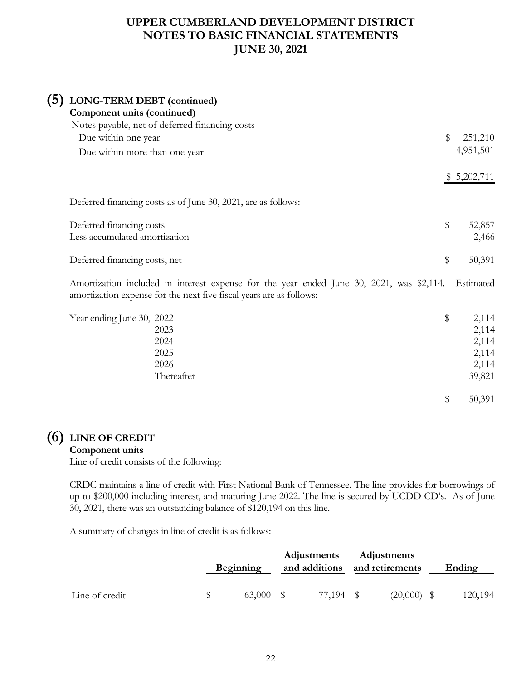# **(5) LONG-TERM DEBT (continued)**

| Component units (continued)                                   |               |
|---------------------------------------------------------------|---------------|
| Notes payable, net of deferred financing costs                |               |
| Due within one year                                           | \$<br>251,210 |
| Due within more than one year                                 | 4,951,501     |
|                                                               | \$5,202,711   |
| Deferred financing costs as of June 30, 2021, are as follows: |               |
| Deferred financing costs                                      | \$<br>52,857  |
| Less accumulated amortization                                 | 2,466         |
| Deferred financing costs, net                                 | 50.391        |

Amortization included in interest expense for the year ended June 30, 2021, was \$2,114. Estimated amortization expense for the next five fiscal years are as follows:

| Year ending June 30, 2022 | \$<br>2,114 |
|---------------------------|-------------|
| 2023                      | 2,114       |
| 2024                      | 2,114       |
| 2025                      | 2,114       |
| 2026                      | 2,114       |
| Thereafter                | 39,821      |
|                           | 50,391      |

## **(6) LINE OF CREDIT**

#### **Component units**

Line of credit consists of the following:

CRDC maintains a line of credit with First National Bank of Tennessee. The line provides for borrowings of up to \$200,000 including interest, and maturing June 2022. The line is secured by UCDD CD's. As of June 30, 2021, there was an outstanding balance of \$120,194 on this line.

A summary of changes in line of credit is as follows:

|                | <b>Beginning</b> |        | Adjustments | Adjustments<br>and additions and retirements | Ending  |
|----------------|------------------|--------|-------------|----------------------------------------------|---------|
| Line of credit |                  | 63.000 | 77 194      | (20,000)                                     | 120,194 |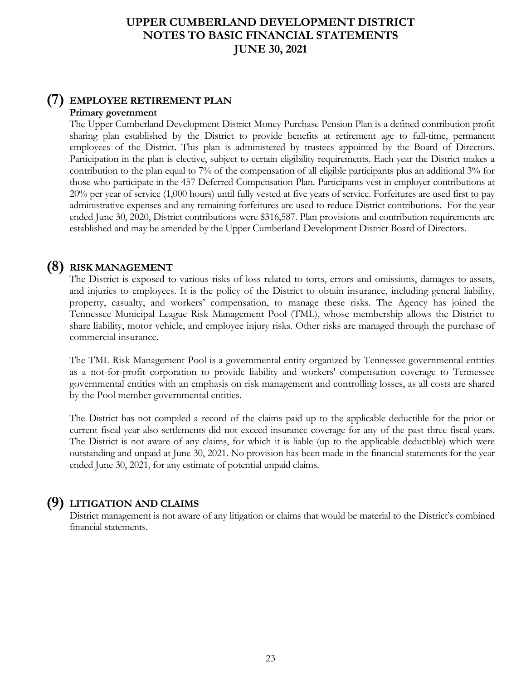# **(7) EMPLOYEE RETIREMENT PLAN**

## **Primary government**

The Upper Cumberland Development District Money Purchase Pension Plan is a defined contribution profit sharing plan established by the District to provide benefits at retirement age to full-time, permanent employees of the District. This plan is administered by trustees appointed by the Board of Directors. Participation in the plan is elective, subject to certain eligibility requirements. Each year the District makes a contribution to the plan equal to 7% of the compensation of all eligible participants plus an additional 3% for those who participate in the 457 Deferred Compensation Plan. Participants vest in employer contributions at 20% per year of service (1,000 hours) until fully vested at five years of service. Forfeitures are used first to pay administrative expenses and any remaining forfeitures are used to reduce District contributions. For the year ended June 30, 2020, District contributions were \$316,587. Plan provisions and contribution requirements are established and may be amended by the Upper Cumberland Development District Board of Directors.

## **(8) RISK MANAGEMENT**

The District is exposed to various risks of loss related to torts, errors and omissions, damages to assets, and injuries to employees. It is the policy of the District to obtain insurance, including general liability, property, casualty, and workers' compensation, to manage these risks. The Agency has joined the Tennessee Municipal League Risk Management Pool (TML), whose membership allows the District to share liability, motor vehicle, and employee injury risks. Other risks are managed through the purchase of commercial insurance.

The TML Risk Management Pool is a governmental entity organized by Tennessee governmental entities as a not-for-profit corporation to provide liability and workers' compensation coverage to Tennessee governmental entities with an emphasis on risk management and controlling losses, as all costs are shared by the Pool member governmental entities.

The District has not compiled a record of the claims paid up to the applicable deductible for the prior or current fiscal year also settlements did not exceed insurance coverage for any of the past three fiscal years. The District is not aware of any claims, for which it is liable (up to the applicable deductible) which were outstanding and unpaid at June 30, 2021. No provision has been made in the financial statements for the year ended June 30, 2021, for any estimate of potential unpaid claims.

## **(9) LITIGATION AND CLAIMS**

District management is not aware of any litigation or claims that would be material to the District's combined financial statements.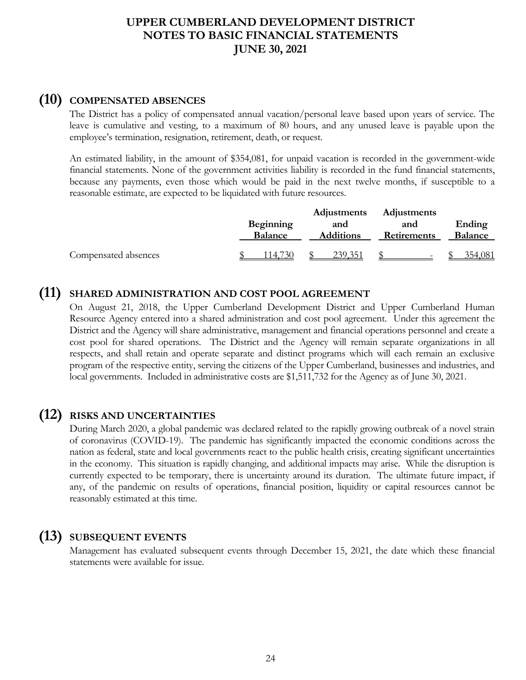## **(10) COMPENSATED ABSENCES**

The District has a policy of compensated annual vacation/personal leave based upon years of service. The leave is cumulative and vesting, to a maximum of 80 hours, and any unused leave is payable upon the employee's termination, resignation, retirement, death, or request.

An estimated liability, in the amount of \$354,081, for unpaid vacation is recorded in the government-wide financial statements. None of the government activities liability is recorded in the fund financial statements, because any payments, even those which would be paid in the next twelve months, if susceptible to a reasonable estimate, are expected to be liquidated with future resources.

|                      | <b>Beginning</b><br><b>Balance</b> |         | Adjustments<br>and<br><b>Additions</b> |         | Adjustments<br>and<br>Retirements |                             | Ending<br><b>Balance</b> |               |
|----------------------|------------------------------------|---------|----------------------------------------|---------|-----------------------------------|-----------------------------|--------------------------|---------------|
| Compensated absences |                                    | 114.730 |                                        | 239.351 |                                   | and the control of the con- |                          | +.081<br>354. |

## **(11) SHARED ADMINISTRATION AND COST POOL AGREEMENT**

On August 21, 2018, the Upper Cumberland Development District and Upper Cumberland Human Resource Agency entered into a shared administration and cost pool agreement. Under this agreement the District and the Agency will share administrative, management and financial operations personnel and create a cost pool for shared operations. The District and the Agency will remain separate organizations in all respects, and shall retain and operate separate and distinct programs which will each remain an exclusive program of the respective entity, serving the citizens of the Upper Cumberland, businesses and industries, and local governments. Included in administrative costs are \$1,511,732 for the Agency as of June 30, 2021.

## **(12) RISKS AND UNCERTAINTIES**

During March 2020, a global pandemic was declared related to the rapidly growing outbreak of a novel strain of coronavirus (COVID-19). The pandemic has significantly impacted the economic conditions across the nation as federal, state and local governments react to the public health crisis, creating significant uncertainties in the economy. This situation is rapidly changing, and additional impacts may arise. While the disruption is currently expected to be temporary, there is uncertainty around its duration. The ultimate future impact, if any, of the pandemic on results of operations, financial position, liquidity or capital resources cannot be reasonably estimated at this time.

## **(13) SUBSEQUENT EVENTS**

Management has evaluated subsequent events through December 15, 2021, the date which these financial statements were available for issue.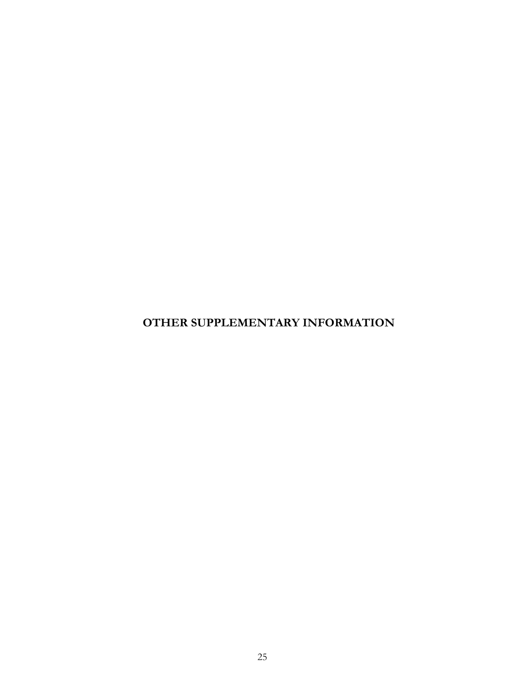**OTHER SUPPLEMENTARY INFORMATION**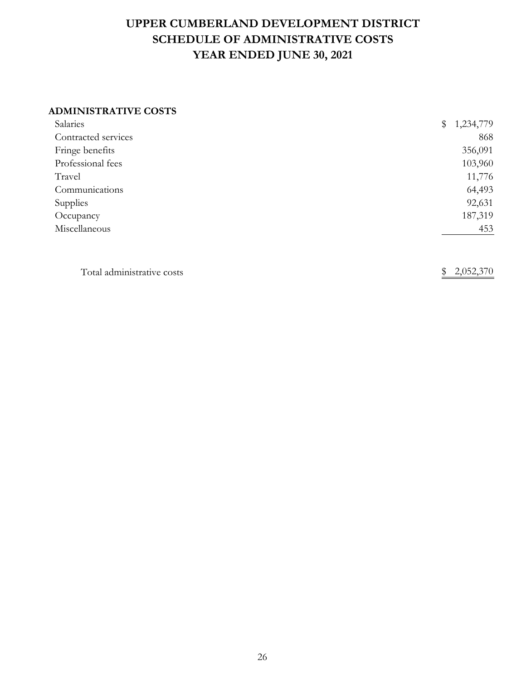# **UPPER CUMBERLAND DEVELOPMENT DISTRICT SCHEDULE OF ADMINISTRATIVE COSTS YEAR ENDED JUNE 30, 2021**

## **ADMINISTRATIVE COSTS**

| Salaries            | \$<br>1,234,779 |
|---------------------|-----------------|
| Contracted services | 868             |
| Fringe benefits     | 356,091         |
| Professional fees   | 103,960         |
| Travel              | 11,776          |
| Communications      | 64,493          |
| Supplies            | 92,631          |
| Occupancy           | 187,319         |
| Miscellaneous       | 453             |
|                     |                 |

Total administrative costs \$ 2,052,370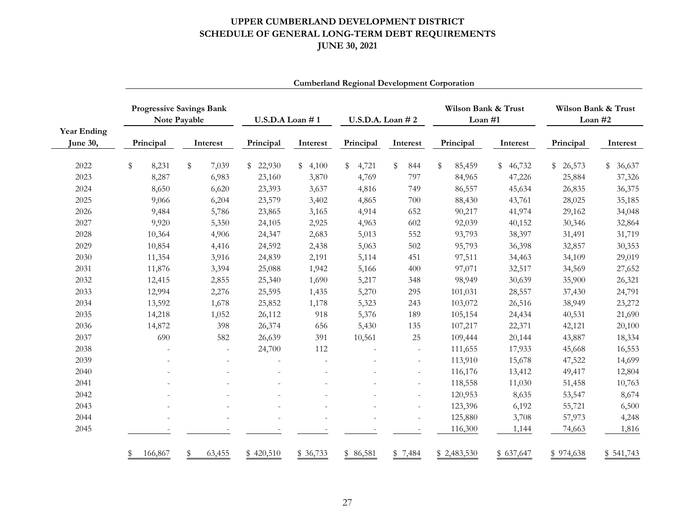#### **UPPER CUMBERLAND DEVELOPMENT DISTRICT SCHEDULE OF GENERAL LONG-TERM DEBT REQUIREMENTS JUNE 30, 2021**

|                                |              | <b>Progressive Savings Bank</b><br>Note Payable | U.S.D.A Loan #1          |             | U.S.D.A. Loan #2 |                | Wilson Bank & Trust<br>Loan $#1$ |              | Wilson Bank & Trust<br>Loan $#2$ |              |  |
|--------------------------------|--------------|-------------------------------------------------|--------------------------|-------------|------------------|----------------|----------------------------------|--------------|----------------------------------|--------------|--|
| <b>Year Ending</b><br>June 30, | Principal    | Interest                                        | Principal                | Interest    | Principal        | Interest       | Principal                        | Interest     | Principal                        | Interest     |  |
|                                |              |                                                 |                          |             |                  |                |                                  |              |                                  |              |  |
| 2022                           | \$<br>8,231  | \$<br>7,039                                     | 22,930<br>$\mathbb{S}$   | \$<br>4,100 | \$<br>4,721      | \$<br>844      | \$<br>85,459                     | \$<br>46,732 | \$<br>26,573                     | \$<br>36,637 |  |
| 2023                           | 8,287        | 6,983                                           | 23,160                   | 3,870       | 4,769            | 797            | 84,965                           | 47,226       | 25,884                           | 37,326       |  |
| 2024                           | 8,650        | 6,620                                           | 23,393                   | 3,637       | 4,816            | 749            | 86,557                           | 45,634       | 26,835                           | 36,375       |  |
| 2025                           | 9,066        | 6,204                                           | 23,579                   | 3,402       | 4,865            | 700            | 88,430                           | 43,761       | 28,025                           | 35,185       |  |
| 2026                           | 9,484        | 5,786                                           | 23,865                   | 3,165       | 4,914            | 652            | 90,217                           | 41,974       | 29,162                           | 34,048       |  |
| 2027                           | 9,920        | 5,350                                           | 24,105                   | 2,925       | 4,963            | 602            | 92,039                           | 40,152       | 30,346                           | 32,864       |  |
| 2028                           | 10,364       | 4,906                                           | 24,347                   | 2,683       | 5,013            | 552            | 93,793                           | 38,397       | 31,491                           | 31,719       |  |
| 2029                           | 10,854       | 4,416                                           | 24,592                   | 2,438       | 5,063            | 502            | 95,793                           | 36,398       | 32,857                           | 30,353       |  |
| 2030                           | 11,354       | 3,916                                           | 24,839                   | 2,191       | 5,114            | 451            | 97,511                           | 34,463       | 34,109                           | 29,019       |  |
| 2031                           | 11,876       | 3,394                                           | 25,088                   | 1,942       | 5,166            | 400            | 97,071                           | 32,517       | 34,569                           | 27,652       |  |
| 2032                           | 12,415       | 2,855                                           | 25,340                   | 1,690       | 5,217            | 348            | 98,949                           | 30,639       | 35,900                           | 26,321       |  |
| 2033                           | 12,994       | 2,276                                           | 25,595                   | 1,435       | 5,270            | 295            | 101,031                          | 28,557       | 37,430                           | 24,791       |  |
| 2034                           | 13,592       | 1,678                                           | 25,852                   | 1,178       | 5,323            | 243            | 103,072                          | 26,516       | 38,949                           | 23,272       |  |
| 2035                           | 14,218       | 1,052                                           | 26,112                   | 918         | 5,376            | 189            | 105,154                          | 24,434       | 40,531                           | 21,690       |  |
| 2036                           | 14,872       | 398                                             | 26,374                   | 656         | 5,430            | 135            | 107,217                          | 22,371       | 42,121                           | 20,100       |  |
| 2037                           | 690          | 582                                             | 26,639                   | 391         | 10,561           | 25             | 109,444                          | 20,144       | 43,887                           | 18,334       |  |
| 2038                           |              | $\blacksquare$                                  | 24,700                   | 112         |                  | $\blacksquare$ | 111,655                          | 17,933       | 45,668                           | 16,553       |  |
| 2039                           |              | $\equiv$                                        | $\overline{\phantom{a}}$ |             |                  | $\blacksquare$ | 113,910                          | 15,678       | 47,522                           | 14,699       |  |
| 2040                           |              |                                                 |                          |             |                  | $\overline{a}$ | 116,176                          | 13,412       | 49,417                           | 12,804       |  |
| 2041                           |              |                                                 |                          |             |                  | $\blacksquare$ | 118,558                          | 11,030       | 51,458                           | 10,763       |  |
| 2042                           |              |                                                 |                          |             |                  | $\blacksquare$ | 120,953                          | 8,635        | 53,547                           | 8,674        |  |
| 2043                           |              |                                                 |                          |             |                  | $\blacksquare$ | 123,396                          | 6,192        | 55,721                           | 6,500        |  |
| 2044                           |              |                                                 |                          |             |                  | $\bar{a}$      | 125,880                          | 3,708        | 57,973                           | 4,248        |  |
| 2045                           |              |                                                 |                          |             |                  |                | 116,300                          | 1,144        | 74,663                           | 1,816        |  |
|                                | 166,867<br>S | \$<br>63,455                                    | \$420,510                | \$36,733    | 86,581<br>\$     | \$7,484        | \$2,483,530                      | \$637,647    | \$974,638                        | \$541,743    |  |

**Cumberland Regional Development Corporation**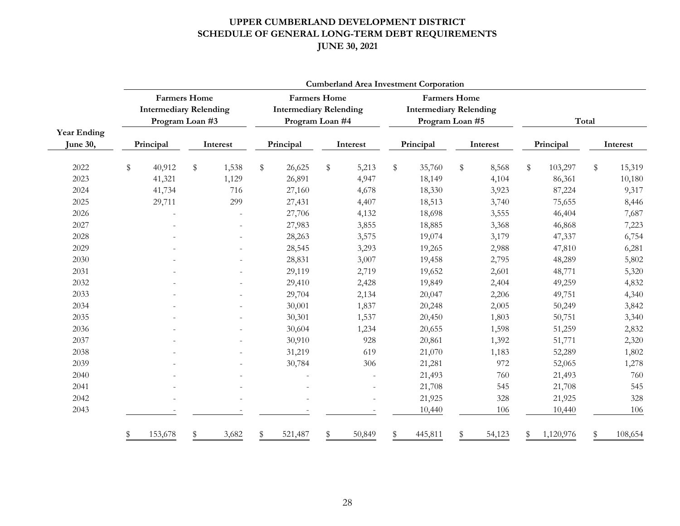## **UPPER CUMBERLAND DEVELOPMENT DISTRICT SCHEDULE OF GENERAL LONG-TERM DEBT REQUIREMENTS JUNE 30, 2021**

|                                | <b>Cumberland Area Investment Corporation</b> |                                                                         |          |       |    |                                                                         |    |           |                                                                         |          |    |           |       |           |       |           |  |          |
|--------------------------------|-----------------------------------------------|-------------------------------------------------------------------------|----------|-------|----|-------------------------------------------------------------------------|----|-----------|-------------------------------------------------------------------------|----------|----|-----------|-------|-----------|-------|-----------|--|----------|
|                                |                                               | <b>Farmers Home</b><br><b>Intermediary Relending</b><br>Program Loan #3 |          |       |    | <b>Farmers Home</b><br><b>Intermediary Relending</b><br>Program Loan #4 |    |           | <b>Farmers Home</b><br><b>Intermediary Relending</b><br>Program Loan #5 |          |    |           | Total |           |       |           |  |          |
| <b>Year Ending</b><br>June 30, | Principal                                     |                                                                         | Interest |       |    |                                                                         |    | Principal |                                                                         | Interest |    | Principal |       | Interest  |       | Principal |  | Interest |
| 2022                           | \$                                            | 40,912                                                                  | \$       | 1,538 | \$ | 26,625                                                                  | \$ | 5,213     | \$                                                                      | 35,760   | \$ | 8,568     | \$    | 103,297   | $\$\$ | 15,319    |  |          |
| 2023                           |                                               | 41,321                                                                  |          | 1,129 |    | 26,891                                                                  |    | 4,947     |                                                                         | 18,149   |    | 4,104     |       | 86,361    |       | 10,180    |  |          |
| 2024                           |                                               | 41,734                                                                  |          | 716   |    | 27,160                                                                  |    | 4,678     |                                                                         | 18,330   |    | 3,923     |       | 87,224    |       | 9,317     |  |          |
| 2025                           |                                               | 29,711                                                                  |          | 299   |    | 27,431                                                                  |    | 4,407     |                                                                         | 18,513   |    | 3,740     |       | 75,655    |       | 8,446     |  |          |
| 2026                           |                                               |                                                                         |          |       |    | 27,706                                                                  |    | 4,132     |                                                                         | 18,698   |    | 3,555     |       | 46,404    |       | 7,687     |  |          |
| 2027                           |                                               |                                                                         |          |       |    | 27,983                                                                  |    | 3,855     |                                                                         | 18,885   |    | 3,368     |       | 46,868    |       | 7,223     |  |          |
| 2028                           |                                               |                                                                         |          |       |    | 28,263                                                                  |    | 3,575     |                                                                         | 19,074   |    | 3,179     |       | 47,337    |       | 6,754     |  |          |
| 2029                           |                                               |                                                                         |          |       |    | 28,545                                                                  |    | 3,293     |                                                                         | 19,265   |    | 2,988     |       | 47,810    |       | 6,281     |  |          |
| 2030                           |                                               |                                                                         |          |       |    | 28,831                                                                  |    | 3,007     |                                                                         | 19,458   |    | 2,795     |       | 48,289    |       | 5,802     |  |          |
| 2031                           |                                               |                                                                         |          |       |    | 29,119                                                                  |    | 2,719     |                                                                         | 19,652   |    | 2,601     |       | 48,771    |       | 5,320     |  |          |
| 2032                           |                                               |                                                                         |          |       |    | 29,410                                                                  |    | 2,428     |                                                                         | 19,849   |    | 2,404     |       | 49,259    |       | 4,832     |  |          |
| 2033                           |                                               |                                                                         |          |       |    | 29,704                                                                  |    | 2,134     |                                                                         | 20,047   |    | 2,206     |       | 49,751    |       | 4,340     |  |          |
| 2034                           |                                               |                                                                         |          |       |    | 30,001                                                                  |    | 1,837     |                                                                         | 20,248   |    | 2,005     |       | 50,249    |       | 3,842     |  |          |
| 2035                           |                                               |                                                                         |          |       |    | 30,301                                                                  |    | 1,537     |                                                                         | 20,450   |    | 1,803     |       | 50,751    |       | 3,340     |  |          |
| 2036                           |                                               |                                                                         |          |       |    | 30,604                                                                  |    | 1,234     |                                                                         | 20,655   |    | 1,598     |       | 51,259    |       | 2,832     |  |          |
| 2037                           |                                               |                                                                         |          |       |    | 30,910                                                                  |    | 928       |                                                                         | 20,861   |    | 1,392     |       | 51,771    |       | 2,320     |  |          |
| 2038                           |                                               |                                                                         |          |       |    | 31,219                                                                  |    | 619       |                                                                         | 21,070   |    | 1,183     |       | 52,289    |       | 1,802     |  |          |
| 2039                           |                                               |                                                                         |          |       |    | 30,784                                                                  |    | 306       |                                                                         | 21,281   |    | 972       |       | 52,065    |       | 1,278     |  |          |
| 2040                           |                                               |                                                                         |          |       |    |                                                                         |    |           |                                                                         | 21,493   |    | 760       |       | 21,493    |       | 760       |  |          |
| 2041                           |                                               |                                                                         |          |       |    |                                                                         |    |           |                                                                         | 21,708   |    | 545       |       | 21,708    |       | 545       |  |          |
| 2042                           |                                               |                                                                         |          |       |    |                                                                         |    |           |                                                                         | 21,925   |    | 328       |       | 21,925    |       | 328       |  |          |
| 2043                           |                                               |                                                                         |          |       |    |                                                                         |    |           |                                                                         | 10,440   |    | 106       |       | 10,440    |       | 106       |  |          |
|                                | \$                                            | 153,678                                                                 | \$       | 3,682 |    | 521,487                                                                 | \$ | 50,849    | \$                                                                      | 445,811  | \$ | 54,123    | ٩     | 1,120,976 |       | 108,654   |  |          |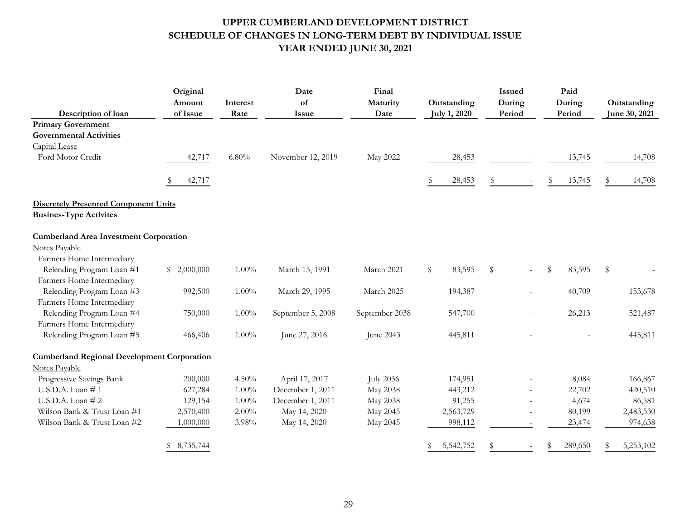## **UPPER CUMBERLAND DEVELOPMENT DISTRICT SCHEDULE OF CHANGES IN LONG-TERM DEBT BY INDIVIDUAL ISSUE YEAR ENDED JUNE 30, 2021**

| Description of loan                                | Original<br>Amount<br>of Issue | Interest<br>Rate | Date<br>of<br><b>Issue</b> | Final<br>Maturity<br>Date | Outstanding<br><b>July 1, 2020</b> | <b>Issued</b><br>During<br>Period | Paid<br>During<br>Period | Outstanding<br><b>June 30, 2021</b> |
|----------------------------------------------------|--------------------------------|------------------|----------------------------|---------------------------|------------------------------------|-----------------------------------|--------------------------|-------------------------------------|
| <b>Primary Government</b>                          |                                |                  |                            |                           |                                    |                                   |                          |                                     |
| <b>Governmental Activities</b>                     |                                |                  |                            |                           |                                    |                                   |                          |                                     |
| Capital Lease                                      |                                |                  |                            |                           |                                    |                                   |                          |                                     |
| Ford Motor Credit                                  | 42,717                         | $6.80\%$         | November 12, 2019          | May 2022                  | 28,453                             |                                   | 13,745                   | 14,708                              |
|                                                    | 42,717                         |                  |                            |                           | \$<br>28,453                       |                                   | 13,745                   | 14,708<br>\$                        |
| <b>Discretely Presented Component Units</b>        |                                |                  |                            |                           |                                    |                                   |                          |                                     |
| <b>Busines-Type Activites</b>                      |                                |                  |                            |                           |                                    |                                   |                          |                                     |
| <b>Cumberland Area Investment Corporation</b>      |                                |                  |                            |                           |                                    |                                   |                          |                                     |
| Notes Payable                                      |                                |                  |                            |                           |                                    |                                   |                          |                                     |
| Farmers Home Intermediary                          |                                |                  |                            |                           |                                    |                                   |                          |                                     |
| Relending Program Loan #1                          | 2,000,000<br>\$                | $1.00\%$         | March 15, 1991             | March 2021                | 83,595<br>\$                       | $\mathbb S$                       | \$<br>83,595             | \$                                  |
| Farmers Home Intermediary                          |                                |                  |                            |                           |                                    |                                   |                          |                                     |
| Relending Program Loan #3                          | 992,500                        | $1.00\%$         | March 29, 1995             | March 2025                | 194,387                            |                                   | 40,709                   | 153,678                             |
| Farmers Home Intermediary                          |                                |                  |                            |                           |                                    |                                   |                          |                                     |
| Relending Program Loan #4                          | 750,000                        | $1.00\%$         | September 5, 2008          | September 2038            | 547,700                            |                                   | 26,213                   | 521,487                             |
| Farmers Home Intermediary                          |                                |                  |                            |                           |                                    |                                   |                          |                                     |
| Relending Program Loan #5                          | 466,406                        | $1.00\%$         | June 27, 2016              | June 2043                 | 445,811                            |                                   |                          | 445,811                             |
| <b>Cumberland Regional Development Corporation</b> |                                |                  |                            |                           |                                    |                                   |                          |                                     |
| Notes Payable                                      |                                |                  |                            |                           |                                    |                                   |                          |                                     |
| Progressive Savings Bank                           | 200,000                        | 4.50%            | April 17, 2017             | <b>July 2036</b>          | 174,951                            |                                   | 8,084                    | 166,867                             |
| U.S.D.A. Loan #1                                   | 627,284                        | $1.00\%$         | December 1, 2011           | May 2038                  | 443,212                            |                                   | 22,702                   | 420,510                             |
| U.S.D.A. Loan #2                                   | 129,154                        | $1.00\%$         | December 1, 2011           | May 2038                  | 91,255                             |                                   | 4,674                    | 86,581                              |
| Wilson Bank & Trust Loan #1                        | 2,570,400                      | $2.00\%$         | May 14, 2020               | May 2045                  | 2,563,729                          |                                   | 80,199                   | 2,483,530                           |
| Wilson Bank & Trust Loan #2                        | 1,000,000                      | 3.98%            | May 14, 2020               | May 2045                  | 998,112                            |                                   | 23,474                   | 974,638                             |
|                                                    | 8,735,744                      |                  |                            |                           | 5,542,752<br>S                     |                                   | 289,650<br>S             | 5,253,102                           |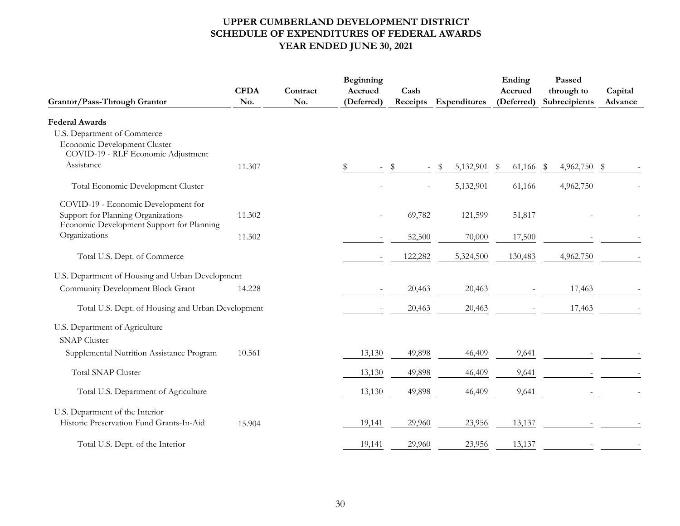## **UPPER CUMBERLAND DEVELOPMENT DISTRICT SCHEDULE OF EXPENDITURES OF FEDERAL AWARDS YEAR ENDED JUNE 30, 2021**

|                                                                                 | <b>CFDA</b><br>Contract |     | Beginning<br>Accrued | Cash     |                 | Ending<br>Accrued | Passed<br>through to | Capital |
|---------------------------------------------------------------------------------|-------------------------|-----|----------------------|----------|-----------------|-------------------|----------------------|---------|
| Grantor/Pass-Through Grantor                                                    | No.                     | No. | (Deferred)           | Receipts | Expenditures    | (Deferred)        | Subrecipients        | Advance |
| <b>Federal Awards</b>                                                           |                         |     |                      |          |                 |                   |                      |         |
| U.S. Department of Commerce                                                     |                         |     |                      |          |                 |                   |                      |         |
| Economic Development Cluster<br>COVID-19 - RLF Economic Adjustment              |                         |     |                      |          |                 |                   |                      |         |
| Assistance                                                                      | 11.307                  |     | \$                   | \$       | \$<br>5,132,901 | 61,166<br>S       | 4,962,750<br>- \$    | -S      |
| Total Economic Development Cluster                                              |                         |     |                      |          | 5,132,901       | 61,166            | 4,962,750            |         |
| COVID-19 - Economic Development for                                             |                         |     |                      |          |                 |                   |                      |         |
| Support for Planning Organizations<br>Economic Development Support for Planning | 11.302                  |     |                      | 69,782   | 121,599         | 51,817            |                      |         |
| Organizations                                                                   | 11.302                  |     |                      | 52,500   | 70,000          | 17,500            |                      |         |
| Total U.S. Dept. of Commerce                                                    |                         |     |                      | 122,282  | 5,324,500       | 130,483           | 4,962,750            |         |
| U.S. Department of Housing and Urban Development                                |                         |     |                      |          |                 |                   |                      |         |
| Community Development Block Grant                                               | 14.228                  |     |                      | 20,463   | 20,463          |                   | 17,463               |         |
| Total U.S. Dept. of Housing and Urban Development                               |                         |     |                      | 20,463   | 20,463          |                   | 17,463               |         |
| U.S. Department of Agriculture                                                  |                         |     |                      |          |                 |                   |                      |         |
| <b>SNAP Cluster</b>                                                             |                         |     |                      |          |                 |                   |                      |         |
| Supplemental Nutrition Assistance Program                                       | 10.561                  |     | 13,130               | 49,898   | 46,409          | 9,641             |                      |         |
| <b>Total SNAP Cluster</b>                                                       |                         |     | 13,130               | 49,898   | 46,409          | 9,641             |                      |         |
| Total U.S. Department of Agriculture                                            |                         |     | 13,130               | 49,898   | 46,409          | 9,641             |                      |         |
| U.S. Department of the Interior                                                 |                         |     |                      |          |                 |                   |                      |         |
| Historic Preservation Fund Grants-In-Aid                                        | 15.904                  |     | 19,141               | 29,960   | 23,956          | 13,137            |                      |         |
| Total U.S. Dept. of the Interior                                                |                         |     | 19,141               | 29,960   | 23,956          | 13,137            |                      |         |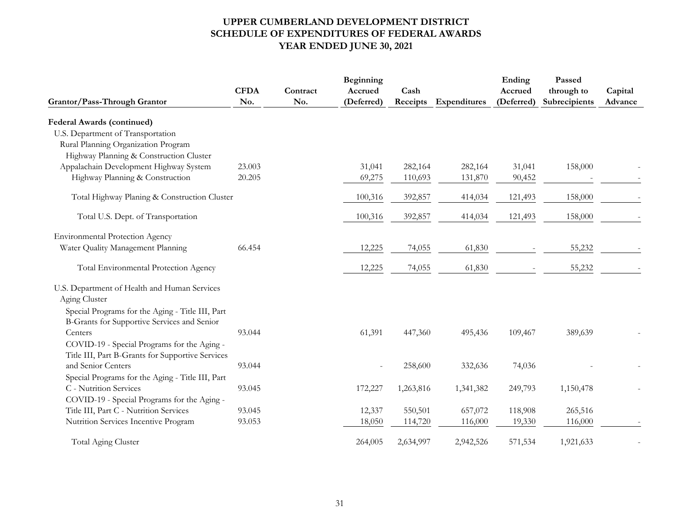## **UPPER CUMBERLAND DEVELOPMENT DISTRICT SCHEDULE OF EXPENDITURES OF FEDERAL AWARDS YEAR ENDED JUNE 30, 2021**

|                                                  | <b>CFDA</b> | Contract | Beginning<br>Accrued | Cash      |              | Ending<br>Accrued | Passed<br>through to | Capital |
|--------------------------------------------------|-------------|----------|----------------------|-----------|--------------|-------------------|----------------------|---------|
| Grantor/Pass-Through Grantor                     | No.         | No.      | (Deferred)           | Receipts  | Expenditures | (Deferred)        | Subrecipients        | Advance |
| <b>Federal Awards (continued)</b>                |             |          |                      |           |              |                   |                      |         |
| U.S. Department of Transportation                |             |          |                      |           |              |                   |                      |         |
| Rural Planning Organization Program              |             |          |                      |           |              |                   |                      |         |
| Highway Planning & Construction Cluster          |             |          |                      |           |              |                   |                      |         |
| Appalachain Development Highway System           | 23.003      |          | 31,041               | 282,164   | 282,164      | 31,041            | 158,000              |         |
| Highway Planning & Construction                  | 20.205      |          | 69,275               | 110,693   | 131,870      | 90,452            |                      |         |
| Total Highway Planing & Construction Cluster     |             |          | 100,316              | 392,857   | 414,034      | 121,493           | 158,000              |         |
| Total U.S. Dept. of Transportation               |             |          | 100,316              | 392,857   | 414,034      | 121,493           | 158,000              |         |
| <b>Environmental Protection Agency</b>           |             |          |                      |           |              |                   |                      |         |
| Water Quality Management Planning                | 66.454      |          | 12,225               | 74,055    | 61,830       |                   | 55,232               |         |
|                                                  |             |          |                      |           |              |                   |                      |         |
| Total Environmental Protection Agency            |             |          | 12,225               | 74,055    | 61,830       |                   | 55,232               |         |
| U.S. Department of Health and Human Services     |             |          |                      |           |              |                   |                      |         |
| Aging Cluster                                    |             |          |                      |           |              |                   |                      |         |
| Special Programs for the Aging - Title III, Part |             |          |                      |           |              |                   |                      |         |
| B-Grants for Supportive Services and Senior      |             |          |                      |           |              |                   |                      |         |
| Centers                                          | 93.044      |          | 61,391               | 447,360   | 495,436      | 109,467           | 389,639              |         |
| COVID-19 - Special Programs for the Aging -      |             |          |                      |           |              |                   |                      |         |
| Title III, Part B-Grants for Supportive Services |             |          |                      |           |              |                   |                      |         |
| and Senior Centers                               | 93.044      |          |                      | 258,600   | 332,636      | 74,036            |                      |         |
| Special Programs for the Aging - Title III, Part |             |          |                      |           |              |                   |                      |         |
| C - Nutrition Services                           | 93.045      |          | 172,227              | 1,263,816 | 1,341,382    | 249,793           | 1,150,478            |         |
| COVID-19 - Special Programs for the Aging -      |             |          |                      |           |              |                   |                      |         |
| Title III, Part C - Nutrition Services           | 93.045      |          | 12,337               | 550,501   | 657,072      | 118,908           | 265,516              |         |
| Nutrition Services Incentive Program             | 93.053      |          | 18,050               | 114,720   | 116,000      | 19,330            | 116,000              |         |
| Total Aging Cluster                              |             |          | 264,005              | 2,634,997 | 2,942,526    | 571,534           | 1,921,633            |         |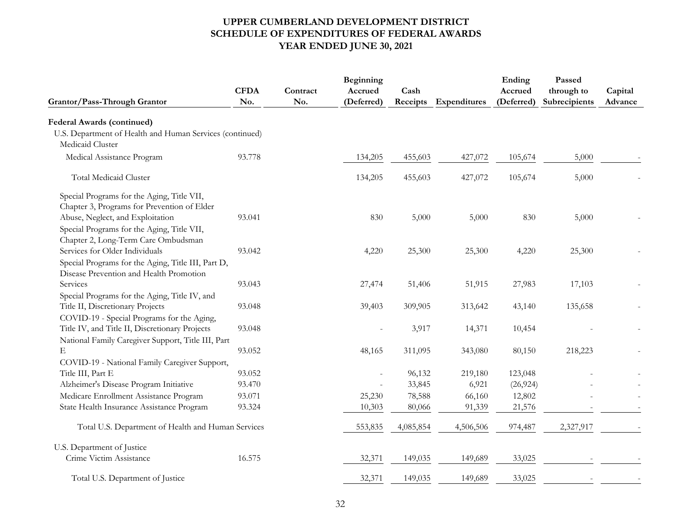## **YEAR ENDED JUNE 30, 2021 UPPER CUMBERLAND DEVELOPMENT DISTRICT SCHEDULE OF EXPENDITURES OF FEDERAL AWARDS**

|                                                          |             |          | Beginning  |           |              | Ending     | Passed        |         |
|----------------------------------------------------------|-------------|----------|------------|-----------|--------------|------------|---------------|---------|
|                                                          | <b>CFDA</b> | Contract | Accrued    | Cash      |              | Accrued    | through to    | Capital |
| Grantor/Pass-Through Grantor                             | No.         | No.      | (Deferred) | Receipts  | Expenditures | (Deferred) | Subrecipients | Advance |
| <b>Federal Awards (continued)</b>                        |             |          |            |           |              |            |               |         |
| U.S. Department of Health and Human Services (continued) |             |          |            |           |              |            |               |         |
| Medicaid Cluster                                         |             |          |            |           |              |            |               |         |
| Medical Assistance Program                               | 93.778      |          | 134,205    | 455,603   | 427,072      | 105,674    | 5,000         |         |
| Total Medicaid Cluster                                   |             |          | 134,205    | 455,603   | 427,072      | 105,674    | 5,000         |         |
| Special Programs for the Aging, Title VII,               |             |          |            |           |              |            |               |         |
| Chapter 3, Programs for Prevention of Elder              |             |          |            |           |              |            |               |         |
| Abuse, Neglect, and Exploitation                         | 93.041      |          | 830        | 5,000     | 5,000        | 830        | 5,000         |         |
| Special Programs for the Aging, Title VII,               |             |          |            |           |              |            |               |         |
| Chapter 2, Long-Term Care Ombudsman                      |             |          |            |           |              |            |               |         |
| Services for Older Individuals                           | 93.042      |          | 4,220      | 25,300    | 25,300       | 4,220      | 25,300        |         |
| Special Programs for the Aging, Title III, Part D,       |             |          |            |           |              |            |               |         |
| Disease Prevention and Health Promotion                  |             |          |            |           |              |            |               |         |
| Services                                                 | 93.043      |          | 27,474     | 51,406    | 51,915       | 27,983     | 17,103        |         |
| Special Programs for the Aging, Title IV, and            |             |          |            |           |              |            |               |         |
| Title II, Discretionary Projects                         | 93.048      |          | 39,403     | 309,905   | 313,642      | 43,140     | 135,658       |         |
| COVID-19 - Special Programs for the Aging,               |             |          |            |           |              |            |               |         |
| Title IV, and Title II, Discretionary Projects           | 93.048      |          |            | 3,917     | 14,371       | 10,454     |               |         |
| National Family Caregiver Support, Title III, Part       |             |          |            |           |              |            |               |         |
| Ε                                                        | 93.052      |          | 48,165     | 311,095   | 343,080      | 80,150     | 218,223       |         |
| COVID-19 - National Family Caregiver Support,            |             |          |            |           |              |            |               |         |
| Title III, Part E                                        | 93.052      |          |            | 96,132    | 219,180      | 123,048    |               |         |
| Alzheimer's Disease Program Initiative                   | 93.470      |          |            | 33,845    | 6,921        | (26, 924)  |               |         |
| Medicare Enrollment Assistance Program                   | 93.071      |          | 25,230     | 78,588    | 66,160       | 12,802     |               |         |
| State Health Insurance Assistance Program                | 93.324      |          | 10,303     | 80,066    | 91,339       | 21,576     |               |         |
| Total U.S. Department of Health and Human Services       |             |          | 553,835    | 4,085,854 | 4,506,506    | 974,487    | 2,327,917     |         |
| U.S. Department of Justice                               |             |          |            |           |              |            |               |         |
| Crime Victim Assistance                                  | 16.575      |          | 32,371     | 149,035   | 149,689      | 33,025     |               |         |
| Total U.S. Department of Justice                         |             |          | 32,371     | 149,035   | 149,689      | 33,025     |               |         |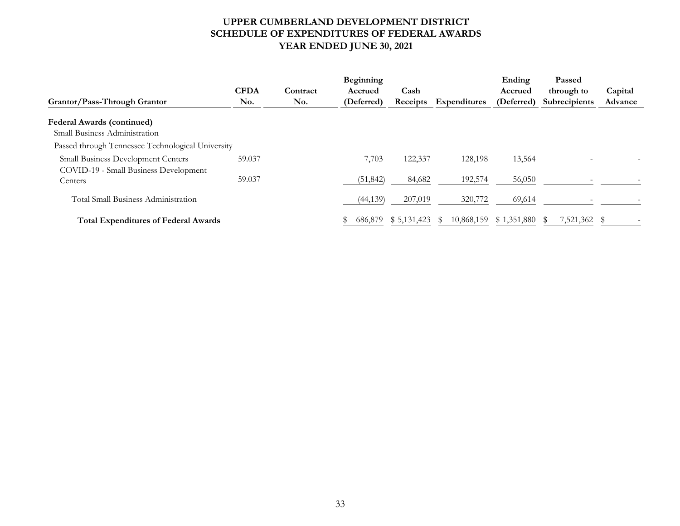## **UPPER CUMBERLAND DEVELOPMENT DISTRICT SCHEDULE OF EXPENDITURES OF FEDERAL AWARDS YEAR ENDED JUNE 30, 2021**

| Grantor/Pass-Through Grantor                                                       | <b>CFDA</b><br>No. | Contract<br>No. | Beginning<br>Accrued<br>(Deferred) | Cash<br>Receipts | <b>Expenditures</b> | Ending<br>Accrued<br>(Deferred) | Passed<br>through to<br><b>Subrecipients</b> | Capital<br>Advance |
|------------------------------------------------------------------------------------|--------------------|-----------------|------------------------------------|------------------|---------------------|---------------------------------|----------------------------------------------|--------------------|
| <b>Federal Awards (continued)</b><br>Small Business Administration                 |                    |                 |                                    |                  |                     |                                 |                                              |                    |
| Passed through Tennessee Technological University                                  |                    |                 |                                    |                  |                     |                                 |                                              |                    |
| <b>Small Business Development Centers</b><br>COVID-19 - Small Business Development | 59.037             |                 | 7,703                              | 122,337          | 128,198             | 13,564                          |                                              |                    |
| Centers                                                                            | 59.037             |                 | (51, 842)                          | 84,682           | 192,574             | 56,050                          |                                              |                    |
| <b>Total Small Business Administration</b>                                         |                    |                 | (44, 139)                          | 207,019          | 320,772             | 69,614                          |                                              |                    |
| <b>Total Expenditures of Federal Awards</b>                                        |                    |                 | 686,879                            | \$5,131,423      | 10,868,159          | \$1,351,880                     | 7,521,362                                    |                    |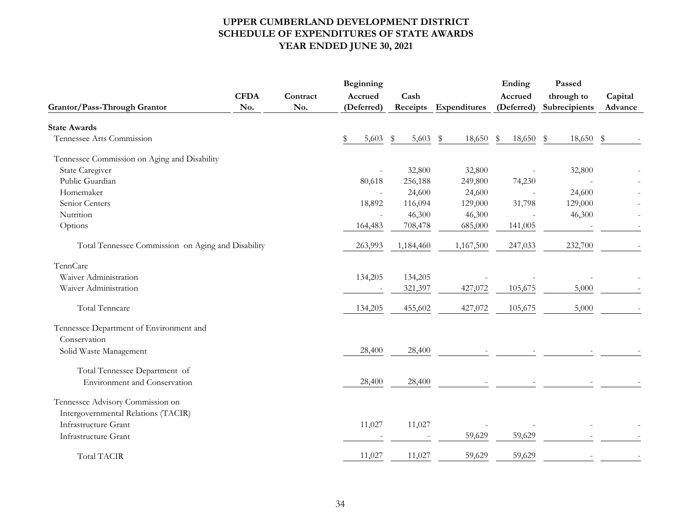## **UPPER CUMBERLAND DEVELOPMENT DISTRICT SCHEDULE OF EXPENDITURES OF STATE AWARDS YEAR ENDED JUNE 30, 2021**

|                                                    |             |          | Beginning  |             |              |   | Ending         |          | Passed        |         |
|----------------------------------------------------|-------------|----------|------------|-------------|--------------|---|----------------|----------|---------------|---------|
|                                                    | <b>CFDA</b> | Contract | Accrued    | Cash        |              |   | Accrued        |          | through to    | Capital |
| Grantor/Pass-Through Grantor                       | No.         | No.      | (Deferred) | Receipts    | Expenditures |   | (Deferred)     |          | Subrecipients | Advance |
| <b>State Awards</b>                                |             |          |            |             |              |   |                |          |               |         |
| Tennessee Arts Commission                          |             |          | 5,603      | \$<br>5,603 | \$<br>18,650 | S | 18,650         | <b>S</b> | 18,650 \$     |         |
| Tennessee Commission on Aging and Disability       |             |          |            |             |              |   |                |          |               |         |
| <b>State Caregiver</b>                             |             |          |            | 32,800      | 32,800       |   |                |          | 32,800        |         |
| Public Guardian                                    |             |          | 80,618     | 256,188     | 249,800      |   | 74,230         |          |               |         |
| Homemaker                                          |             |          |            | 24,600      | 24,600       |   | $\bar{ }$      |          | 24,600        |         |
| Senior Centers                                     |             |          | 18,892     | 116,094     | 129,000      |   | 31,798         |          | 129,000       |         |
| Nutrition                                          |             |          |            | 46,300      | 46,300       |   | $\overline{a}$ |          | 46,300        |         |
| Options                                            |             |          | 164,483    | 708,478     | 685,000      |   | 141,005        |          |               |         |
| Total Tennessee Commission on Aging and Disability |             |          | 263,993    | 1,184,460   | 1,167,500    |   | 247,033        |          | 232,700       |         |
| TennCare                                           |             |          |            |             |              |   |                |          |               |         |
| Waiver Administration                              |             |          | 134,205    | 134,205     |              |   |                |          |               |         |
| Waiver Administration                              |             |          |            | 321,397     | 427,072      |   | 105,675        |          | 5,000         |         |
| Total Tenncare                                     |             |          | 134,205    | 455,602     | 427,072      |   | 105,675        |          | 5,000         |         |
| Tennessee Department of Environment and            |             |          |            |             |              |   |                |          |               |         |
| Conservation                                       |             |          |            |             |              |   |                |          |               |         |
| Solid Waste Management                             |             |          | 28,400     | 28,400      |              |   |                |          |               |         |
| Total Tennessee Department of                      |             |          |            |             |              |   |                |          |               |         |
| <b>Environment</b> and Conservation                |             |          | 28,400     | 28,400      |              |   |                |          |               |         |
| Tennessee Advisory Commission on                   |             |          |            |             |              |   |                |          |               |         |
| Intergovernmental Relations (TACIR)                |             |          |            |             |              |   |                |          |               |         |
| Infrastructure Grant                               |             |          | 11,027     | 11,027      |              |   |                |          |               |         |
| <b>Infrastructure Grant</b>                        |             |          |            |             | 59,629       |   | 59,629         |          |               |         |
| <b>Total TACIR</b>                                 |             |          | 11,027     | 11,027      | 59,629       |   | 59,629         |          |               |         |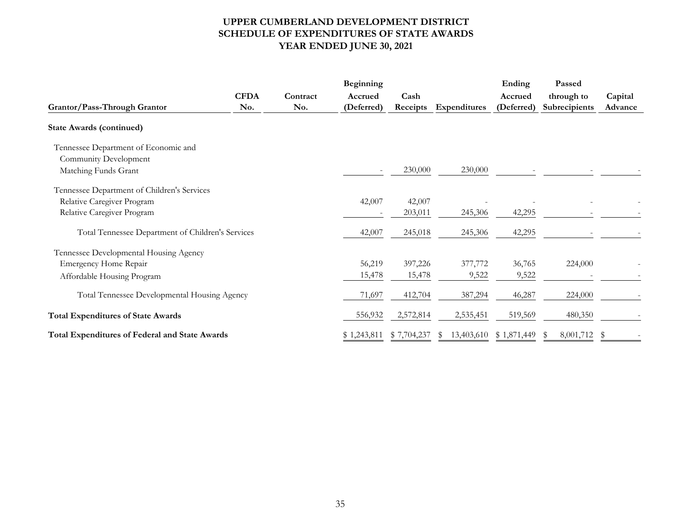## **UPPER CUMBERLAND DEVELOPMENT DISTRICT SCHEDULE OF EXPENDITURES OF STATE AWARDS YEAR ENDED JUNE 30, 2021**

|                                                       |                    |                 | Beginning             |                  |                     | Ending                | Passed                             |                    |
|-------------------------------------------------------|--------------------|-----------------|-----------------------|------------------|---------------------|-----------------------|------------------------------------|--------------------|
| Grantor/Pass-Through Grantor                          | <b>CFDA</b><br>No. | Contract<br>No. | Accrued<br>(Deferred) | Cash<br>Receipts | <b>Expenditures</b> | Accrued<br>(Deferred) | through to<br><b>Subrecipients</b> | Capital<br>Advance |
| <b>State Awards (continued)</b>                       |                    |                 |                       |                  |                     |                       |                                    |                    |
| Tennessee Department of Economic and                  |                    |                 |                       |                  |                     |                       |                                    |                    |
| Community Development                                 |                    |                 |                       |                  |                     |                       |                                    |                    |
| Matching Funds Grant                                  |                    |                 |                       | 230,000          | 230,000             |                       |                                    |                    |
| Tennessee Department of Children's Services           |                    |                 |                       |                  |                     |                       |                                    |                    |
| Relative Caregiver Program                            |                    |                 | 42,007                | 42,007           |                     |                       |                                    |                    |
| Relative Caregiver Program                            |                    |                 |                       | 203,011          | 245,306             | 42,295                |                                    |                    |
| Total Tennessee Department of Children's Services     |                    |                 | 42,007                | 245,018          | 245,306             | 42,295                |                                    |                    |
| Tennessee Developmental Housing Agency                |                    |                 |                       |                  |                     |                       |                                    |                    |
| Emergency Home Repair                                 |                    |                 | 56,219                | 397,226          | 377,772             | 36,765                | 224,000                            |                    |
| Affordable Housing Program                            |                    |                 | 15,478                | 15,478           | 9,522               | 9,522                 |                                    |                    |
| Total Tennessee Developmental Housing Agency          |                    |                 | 71,697                | 412,704          | 387,294             | 46,287                | 224,000                            |                    |
| <b>Total Expenditures of State Awards</b>             |                    |                 | 556,932               | 2,572,814        | 2,535,451           | 519,569               | 480,350                            |                    |
| <b>Total Expenditures of Federal and State Awards</b> |                    |                 | \$1,243,811           | \$7,704,237      | 13,403,610<br>Ж     | \$1,871,449           | 8,001,712                          |                    |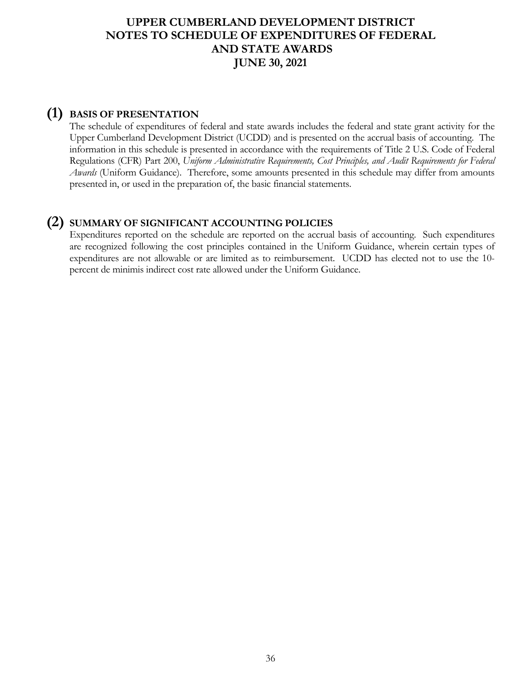## **UPPER CUMBERLAND DEVELOPMENT DISTRICT NOTES TO SCHEDULE OF EXPENDITURES OF FEDERAL AND STATE AWARDS JUNE 30, 2021**

## **(1) BASIS OF PRESENTATION**

The schedule of expenditures of federal and state awards includes the federal and state grant activity for the Upper Cumberland Development District (UCDD) and is presented on the accrual basis of accounting. The information in this schedule is presented in accordance with the requirements of Title 2 U.S. Code of Federal Regulations (CFR) Part 200, *Uniform Administrative Requirements, Cost Principles, and Audit Requirements for Federal Awards* (Uniform Guidance). Therefore, some amounts presented in this schedule may differ from amounts presented in, or used in the preparation of, the basic financial statements.

## **(2) SUMMARY OF SIGNIFICANT ACCOUNTING POLICIES**

Expenditures reported on the schedule are reported on the accrual basis of accounting. Such expenditures are recognized following the cost principles contained in the Uniform Guidance, wherein certain types of expenditures are not allowable or are limited as to reimbursement. UCDD has elected not to use the 10 percent de minimis indirect cost rate allowed under the Uniform Guidance.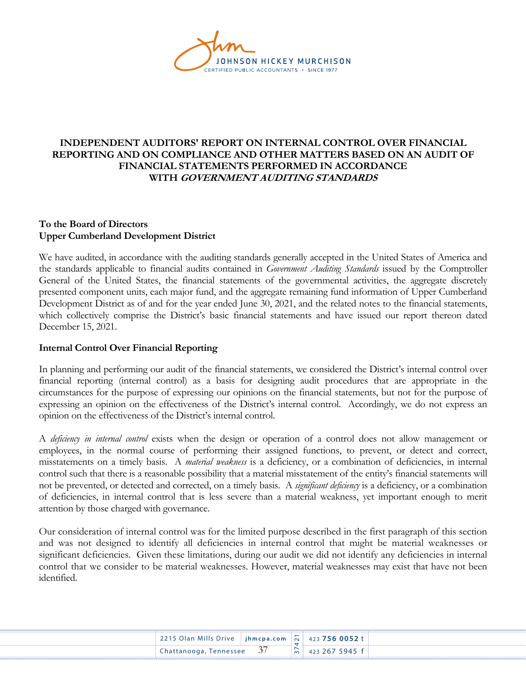

## **INDEPENDENT AUDITORS' REPORT ON INTERNAL CONTROL OVER FINANCIAL REPORTING AND ON COMPLIANCE AND OTHER MATTERS BASED ON AN AUDIT OF FINANCIAL STATEMENTS PERFORMED IN ACCORDANCE WITH GOVERNMENT AUDITING STANDARDS**

## **To the Board of Directors Upper Cumberland Development District**

We have audited, in accordance with the auditing standards generally accepted in the United States of America and the standards applicable to financial audits contained in *Government Auditing Standards* issued by the Comptroller General of the United States, the financial statements of the governmental activities, the aggregate discretely presented component units, each major fund, and the aggregate remaining fund information of Upper Cumberland Development District as of and for the year ended June 30, 2021, and the related notes to the financial statements, which collectively comprise the District's basic financial statements and have issued our report thereon dated December 15, 2021.

## **Internal Control Over Financial Reporting**

In planning and performing our audit of the financial statements, we considered the District's internal control over financial reporting (internal control) as a basis for designing audit procedures that are appropriate in the circumstances for the purpose of expressing our opinions on the financial statements, but not for the purpose of expressing an opinion on the effectiveness of the District's internal control. Accordingly, we do not express an opinion on the effectiveness of the District's internal control.

A *deficiency in internal control* exists when the design or operation of a control does not allow management or employees, in the normal course of performing their assigned functions, to prevent, or detect and correct, misstatements on a timely basis. A *material weakness* is a deficiency, or a combination of deficiencies, in internal control such that there is a reasonable possibility that a material misstatement of the entity's financial statements will not be prevented, or detected and corrected, on a timely basis. A *significant deficiency* is a deficiency, or a combination of deficiencies, in internal control that is less severe than a material weakness, yet important enough to merit attention by those charged with governance.

Our consideration of internal control was for the limited purpose described in the first paragraph of this section and was not designed to identify all deficiencies in internal control that might be material weaknesses or significant deficiencies. Given these limitations, during our audit we did not identify any deficiencies in internal control that we consider to be material weaknesses. However, material weaknesses may exist that have not been identified.

| 2215 Olan Mills Drive  |  | jhmcpa.com $ \bar{n} $ 423 756 0052 t |  |
|------------------------|--|---------------------------------------|--|
| Chattanooga, Tennessee |  | ' 5945 f                              |  |
|                        |  |                                       |  |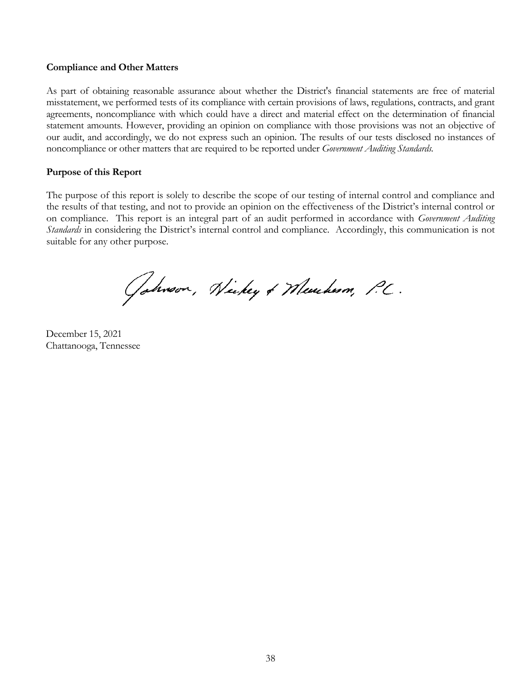#### **Compliance and Other Matters**

As part of obtaining reasonable assurance about whether the District's financial statements are free of material misstatement, we performed tests of its compliance with certain provisions of laws, regulations, contracts, and grant agreements, noncompliance with which could have a direct and material effect on the determination of financial statement amounts. However, providing an opinion on compliance with those provisions was not an objective of our audit, and accordingly, we do not express such an opinion. The results of our tests disclosed no instances of noncompliance or other matters that are required to be reported under *Government Auditing Standards.*

#### **Purpose of this Report**

The purpose of this report is solely to describe the scope of our testing of internal control and compliance and the results of that testing, and not to provide an opinion on the effectiveness of the District's internal control or on compliance. This report is an integral part of an audit performed in accordance with *Government Auditing Standards* in considering the District's internal control and compliance. Accordingly, this communication is not suitable for any other purpose.

Johnson, Nickey & Merchan, P.C.

December 15, 2021 Chattanooga, Tennessee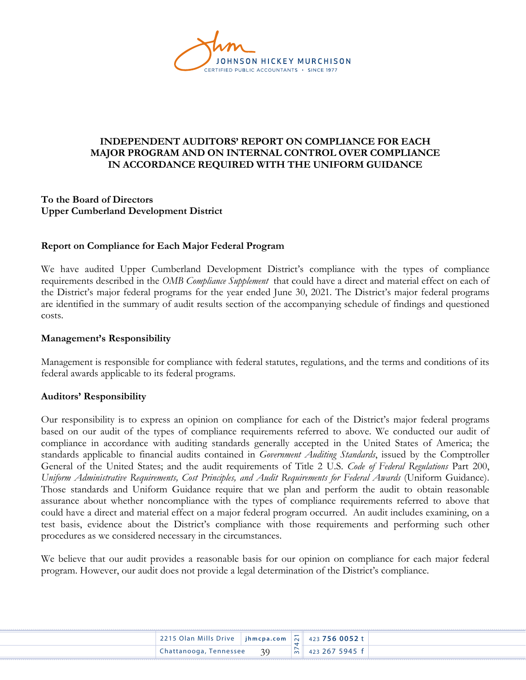

## **INDEPENDENT AUDITORS' REPORT ON COMPLIANCE FOR EACH MAJOR PROGRAM AND ON INTERNAL CONTROL OVER COMPLIANCE IN ACCORDANCE REQUIRED WITH THE UNIFORM GUIDANCE**

## **To the Board of Directors Upper Cumberland Development District**

## **Report on Compliance for Each Major Federal Program**

We have audited Upper Cumberland Development District's compliance with the types of compliance requirements described in the *OMB Compliance Supplement* that could have a direct and material effect on each of the District's major federal programs for the year ended June 30, 2021. The District's major federal programs are identified in the summary of audit results section of the accompanying schedule of findings and questioned costs.

#### **Management's Responsibility**

Management is responsible for compliance with federal statutes, regulations, and the terms and conditions of its federal awards applicable to its federal programs.

## **Auditors' Responsibility**

Our responsibility is to express an opinion on compliance for each of the District's major federal programs based on our audit of the types of compliance requirements referred to above. We conducted our audit of compliance in accordance with auditing standards generally accepted in the United States of America; the standards applicable to financial audits contained in *Government Auditing Standards*, issued by the Comptroller General of the United States; and the audit requirements of Title 2 U.S. *Code of Federal Regulations* Part 200, *Uniform Administrative Requirements, Cost Principles, and Audit Requirements for Federal Awards* (Uniform Guidance). Those standards and Uniform Guidance require that we plan and perform the audit to obtain reasonable assurance about whether noncompliance with the types of compliance requirements referred to above that could have a direct and material effect on a major federal program occurred. An audit includes examining, on a test basis, evidence about the District's compliance with those requirements and performing such other procedures as we considered necessary in the circumstances.

We believe that our audit provides a reasonable basis for our opinion on compliance for each major federal program. However, our audit does not provide a legal determination of the District's compliance.

| 2215 Olan Mills Drive  |    | jhmcpa.com $\lVert \ddot{\bm{\sim}} \rVert$ 423 756 0052 t |  |
|------------------------|----|------------------------------------------------------------|--|
| Chattanooga, Tennessee | 30 | $\sqrt{m}$ 423 267 5945 f                                  |  |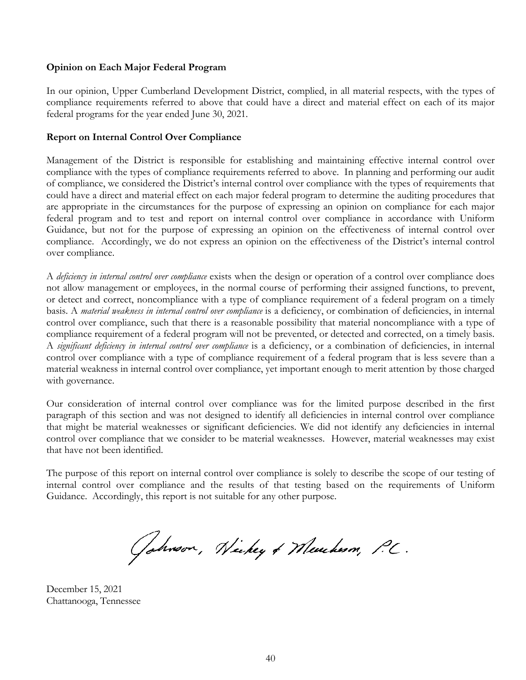#### **Opinion on Each Major Federal Program**

In our opinion, Upper Cumberland Development District, complied, in all material respects, with the types of compliance requirements referred to above that could have a direct and material effect on each of its major federal programs for the year ended June 30, 2021.

#### **Report on Internal Control Over Compliance**

Management of the District is responsible for establishing and maintaining effective internal control over compliance with the types of compliance requirements referred to above. In planning and performing our audit of compliance, we considered the District's internal control over compliance with the types of requirements that could have a direct and material effect on each major federal program to determine the auditing procedures that are appropriate in the circumstances for the purpose of expressing an opinion on compliance for each major federal program and to test and report on internal control over compliance in accordance with Uniform Guidance, but not for the purpose of expressing an opinion on the effectiveness of internal control over compliance. Accordingly, we do not express an opinion on the effectiveness of the District's internal control over compliance.

A *deficiency in internal control over compliance* exists when the design or operation of a control over compliance does not allow management or employees, in the normal course of performing their assigned functions, to prevent, or detect and correct, noncompliance with a type of compliance requirement of a federal program on a timely basis. A *material weakness in internal control over compliance* is a deficiency, or combination of deficiencies, in internal control over compliance, such that there is a reasonable possibility that material noncompliance with a type of compliance requirement of a federal program will not be prevented, or detected and corrected, on a timely basis. A *significant deficiency in internal control over compliance* is a deficiency, or a combination of deficiencies, in internal control over compliance with a type of compliance requirement of a federal program that is less severe than a material weakness in internal control over compliance, yet important enough to merit attention by those charged with governance.

Our consideration of internal control over compliance was for the limited purpose described in the first paragraph of this section and was not designed to identify all deficiencies in internal control over compliance that might be material weaknesses or significant deficiencies. We did not identify any deficiencies in internal control over compliance that we consider to be material weaknesses. However, material weaknesses may exist that have not been identified.

The purpose of this report on internal control over compliance is solely to describe the scope of our testing of internal control over compliance and the results of that testing based on the requirements of Uniform Guidance. Accordingly, this report is not suitable for any other purpose.

Johnson, Nickey & Memberson, P.C.

December 15, 2021 Chattanooga, Tennessee